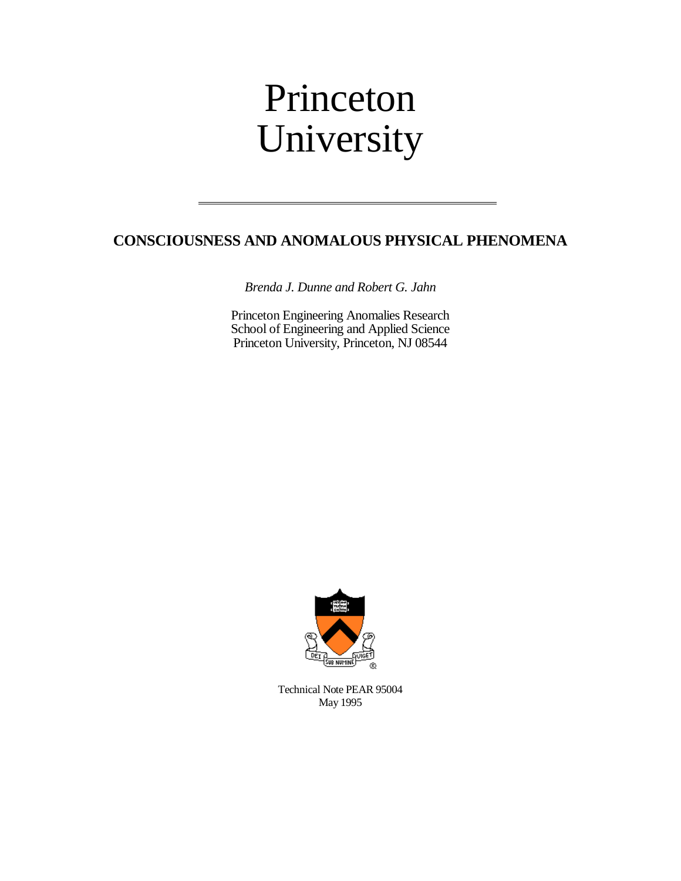# Princeton University

## **CONSCIOUSNESS AND ANOMALOUS PHYSICAL PHENOMENA**

*Brenda J. Dunne and Robert G. Jahn*

Princeton Engineering Anomalies Research School of Engineering and Applied Science Princeton University, Princeton, NJ 08544



Technical Note PEAR 95004 May 1995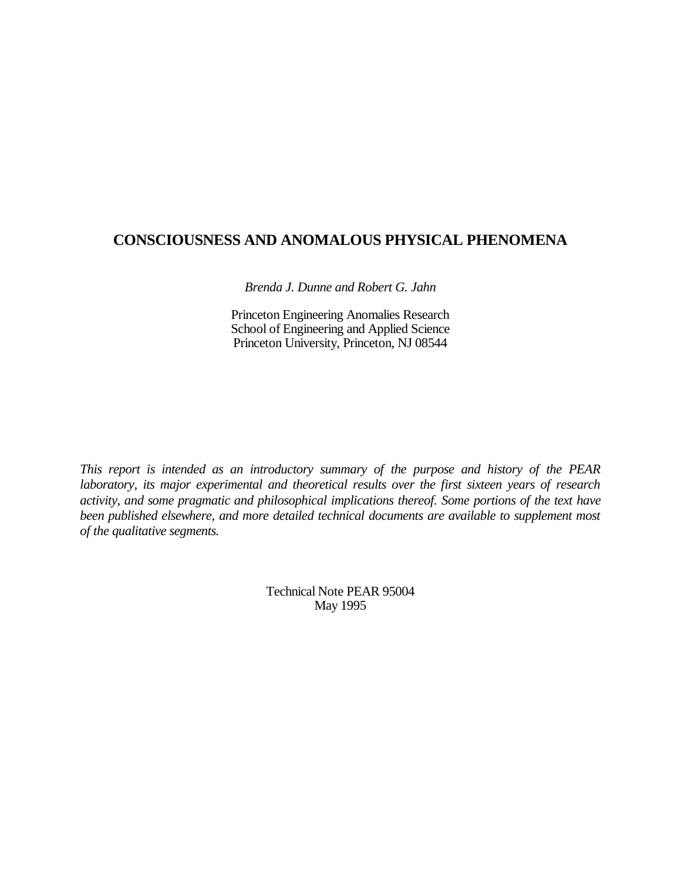### **CONSCIOUSNESS AND ANOMALOUS PHYSICAL PHENOMENA**

*Brenda J. Dunne and Robert G. Jahn*

Princeton Engineering Anomalies Research School of Engineering and Applied Science Princeton University, Princeton, NJ 08544

*This report is intended as an introductory summary of the purpose and history of the PEAR laboratory, its major experimental and theoretical results over the first sixteen years of research activity, and some pragmatic and philosophical implications thereof. Some portions of the text have been published elsewhere, and more detailed technical documents are available to supplement most of the qualitative segments.*

> Technical Note PEAR 95004 May 1995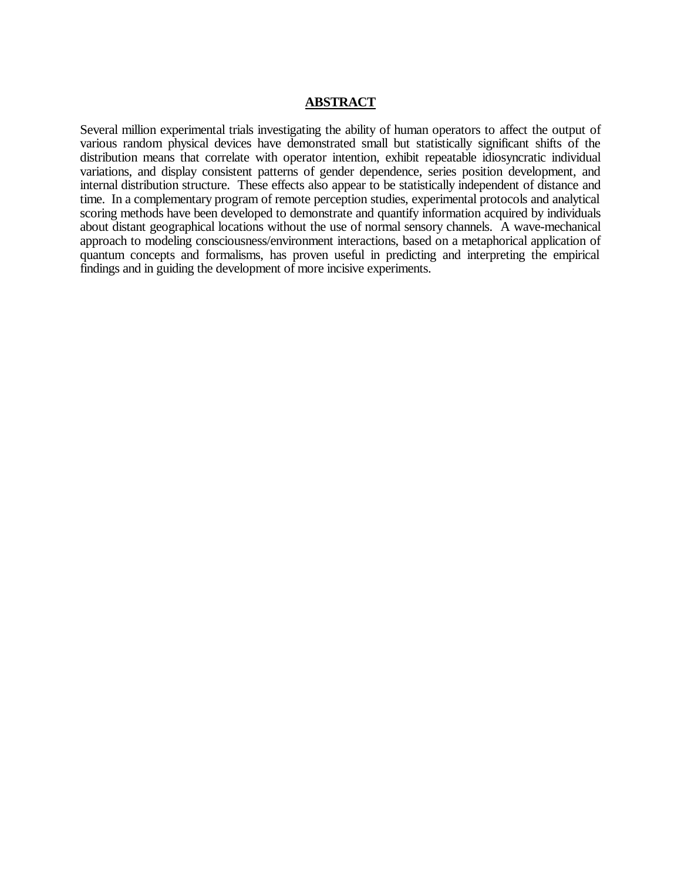#### **ABSTRACT**

Several million experimental trials investigating the ability of human operators to affect the output of various random physical devices have demonstrated small but statistically significant shifts of the distribution means that correlate with operator intention, exhibit repeatable idiosyncratic individual variations, and display consistent patterns of gender dependence, series position development, and internal distribution structure. These effects also appear to be statistically independent of distance and time. In a complementary program of remote perception studies, experimental protocols and analytical scoring methods have been developed to demonstrate and quantify information acquired by individuals about distant geographical locations without the use of normal sensory channels. A wave-mechanical approach to modeling consciousness/environment interactions, based on a metaphorical application of quantum concepts and formalisms, has proven useful in predicting and interpreting the empirical findings and in guiding the development of more incisive experiments.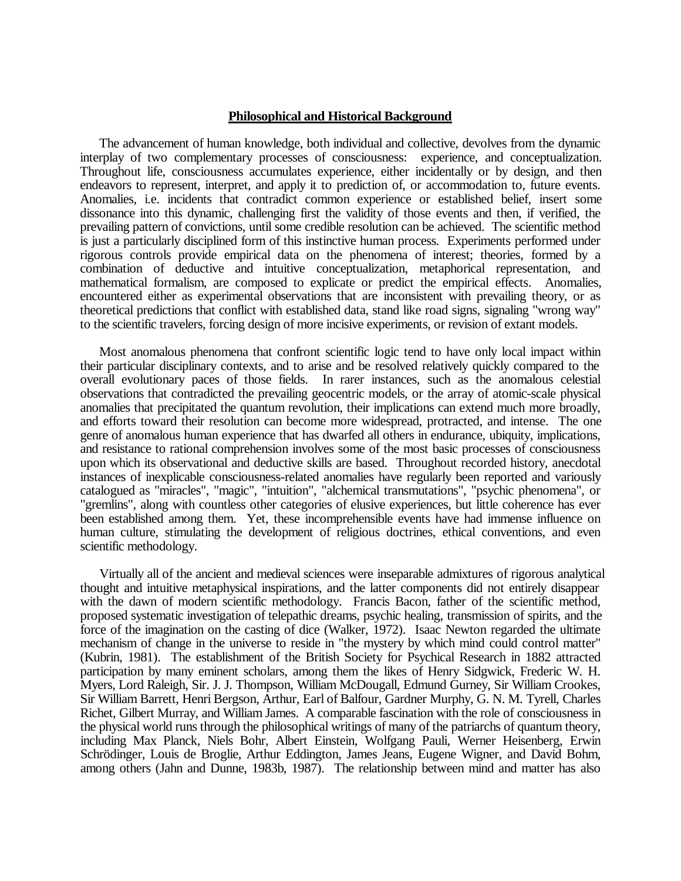#### **Philosophical and Historical Background**

 The advancement of human knowledge, both individual and collective, devolves from the dynamic interplay of two complementary processes of consciousness: experience, and conceptualization. Throughout life, consciousness accumulates experience, either incidentally or by design, and then endeavors to represent, interpret, and apply it to prediction of, or accommodation to, future events. Anomalies, i.e. incidents that contradict common experience or established belief, insert some dissonance into this dynamic, challenging first the validity of those events and then, if verified, the prevailing pattern of convictions, until some credible resolution can be achieved. The scientific method is just a particularly disciplined form of this instinctive human process. Experiments performed under rigorous controls provide empirical data on the phenomena of interest; theories, formed by a combination of deductive and intuitive conceptualization, metaphorical representation, and mathematical formalism, are composed to explicate or predict the empirical effects. Anomalies, encountered either as experimental observations that are inconsistent with prevailing theory, or as theoretical predictions that conflict with established data, stand like road signs, signaling "wrong way" to the scientific travelers, forcing design of more incisive experiments, or revision of extant models.

 Most anomalous phenomena that confront scientific logic tend to have only local impact within their particular disciplinary contexts, and to arise and be resolved relatively quickly compared to the overall evolutionary paces of those fields. In rarer instances, such as the anomalous celestial observations that contradicted the prevailing geocentric models, or the array of atomic-scale physical anomalies that precipitated the quantum revolution, their implications can extend much more broadly, and efforts toward their resolution can become more widespread, protracted, and intense. The one genre of anomalous human experience that has dwarfed all others in endurance, ubiquity, implications, and resistance to rational comprehension involves some of the most basic processes of consciousness upon which its observational and deductive skills are based. Throughout recorded history, anecdotal instances of inexplicable consciousness-related anomalies have regularly been reported and variously catalogued as "miracles", "magic", "intuition", "alchemical transmutations", "psychic phenomena", or "gremlins", along with countless other categories of elusive experiences, but little coherence has ever been established among them. Yet, these incomprehensible events have had immense influence on human culture, stimulating the development of religious doctrines, ethical conventions, and even scientific methodology.

 Virtually all of the ancient and medieval sciences were inseparable admixtures of rigorous analytical thought and intuitive metaphysical inspirations, and the latter components did not entirely disappear with the dawn of modern scientific methodology. Francis Bacon, father of the scientific method, proposed systematic investigation of telepathic dreams, psychic healing, transmission of spirits, and the force of the imagination on the casting of dice (Walker, 1972). Isaac Newton regarded the ultimate mechanism of change in the universe to reside in "the mystery by which mind could control matter" (Kubrin, 1981). The establishment of the British Society for Psychical Research in 1882 attracted participation by many eminent scholars, among them the likes of Henry Sidgwick, Frederic W. H. Myers, Lord Raleigh, Sir. J. J. Thompson, William McDougall, Edmund Gurney, Sir William Crookes, Sir William Barrett, Henri Bergson, Arthur, Earl of Balfour, Gardner Murphy, G. N. M. Tyrell, Charles Richet, Gilbert Murray, and William James. A comparable fascination with the role of consciousness in the physical world runs through the philosophical writings of many of the patriarchs of quantum theory, including Max Planck, Niels Bohr, Albert Einstein, Wolfgang Pauli, Werner Heisenberg, Erwin Schrödinger, Louis de Broglie, Arthur Eddington, James Jeans, Eugene Wigner, and David Bohm, among others (Jahn and Dunne, 1983b, 1987). The relationship between mind and matter has also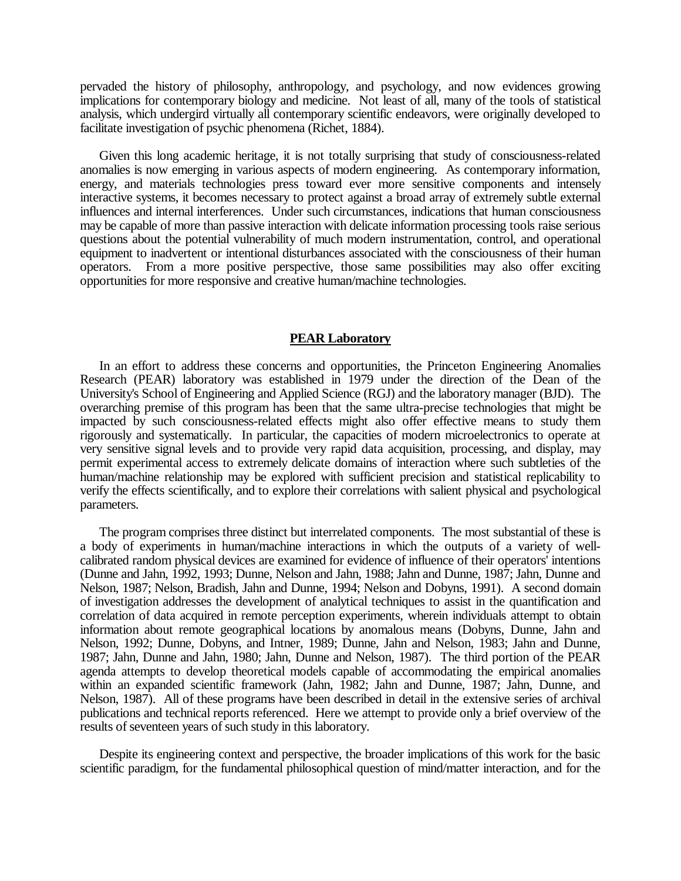pervaded the history of philosophy, anthropology, and psychology, and now evidences growing implications for contemporary biology and medicine. Not least of all, many of the tools of statistical analysis, which undergird virtually all contemporary scientific endeavors, were originally developed to facilitate investigation of psychic phenomena (Richet, 1884).

 Given this long academic heritage, it is not totally surprising that study of consciousness-related anomalies is now emerging in various aspects of modern engineering. As contemporary information, energy, and materials technologies press toward ever more sensitive components and intensely interactive systems, it becomes necessary to protect against a broad array of extremely subtle external influences and internal interferences. Under such circumstances, indications that human consciousness may be capable of more than passive interaction with delicate information processing tools raise serious questions about the potential vulnerability of much modern instrumentation, control, and operational equipment to inadvertent or intentional disturbances associated with the consciousness of their human operators. From a more positive perspective, those same possibilities may also offer exciting opportunities for more responsive and creative human/machine technologies.

#### **PEAR Laboratory**

 In an effort to address these concerns and opportunities, the Princeton Engineering Anomalies Research (PEAR) laboratory was established in 1979 under the direction of the Dean of the University's School of Engineering and Applied Science (RGJ) and the laboratory manager (BJD). The overarching premise of this program has been that the same ultra-precise technologies that might be impacted by such consciousness-related effects might also offer effective means to study them rigorously and systematically. In particular, the capacities of modern microelectronics to operate at very sensitive signal levels and to provide very rapid data acquisition, processing, and display, may permit experimental access to extremely delicate domains of interaction where such subtleties of the human/machine relationship may be explored with sufficient precision and statistical replicability to verify the effects scientifically, and to explore their correlations with salient physical and psychological parameters.

 The program comprises three distinct but interrelated components. The most substantial of these is a body of experiments in human/machine interactions in which the outputs of a variety of wellcalibrated random physical devices are examined for evidence of influence of their operators' intentions (Dunne and Jahn, 1992, 1993; Dunne, Nelson and Jahn, 1988; Jahn and Dunne, 1987; Jahn, Dunne and Nelson, 1987; Nelson, Bradish, Jahn and Dunne, 1994; Nelson and Dobyns, 1991). A second domain of investigation addresses the development of analytical techniques to assist in the quantification and correlation of data acquired in remote perception experiments, wherein individuals attempt to obtain information about remote geographical locations by anomalous means (Dobyns, Dunne, Jahn and Nelson, 1992; Dunne, Dobyns, and Intner, 1989; Dunne, Jahn and Nelson, 1983; Jahn and Dunne, 1987; Jahn, Dunne and Jahn, 1980; Jahn, Dunne and Nelson, 1987). The third portion of the PEAR agenda attempts to develop theoretical models capable of accommodating the empirical anomalies within an expanded scientific framework (Jahn, 1982; Jahn and Dunne, 1987; Jahn, Dunne, and Nelson, 1987). All of these programs have been described in detail in the extensive series of archival publications and technical reports referenced. Here we attempt to provide only a brief overview of the results of seventeen years of such study in this laboratory.

 Despite its engineering context and perspective, the broader implications of this work for the basic scientific paradigm, for the fundamental philosophical question of mind/matter interaction, and for the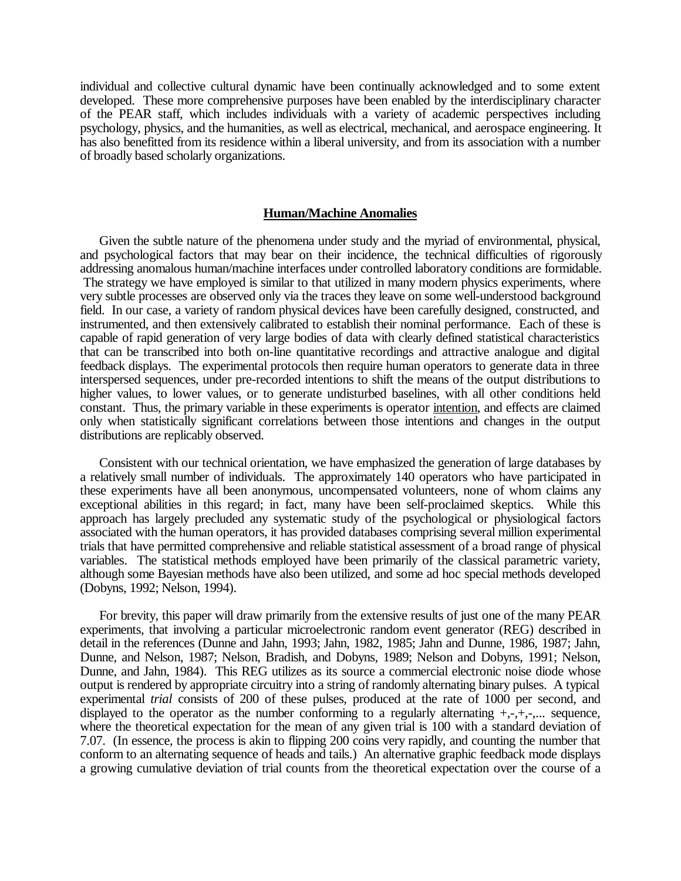individual and collective cultural dynamic have been continually acknowledged and to some extent developed. These more comprehensive purposes have been enabled by the interdisciplinary character of the PEAR staff, which includes individuals with a variety of academic perspectives including psychology, physics, and the humanities, as well as electrical, mechanical, and aerospace engineering. It has also benefitted from its residence within a liberal university, and from its association with a number of broadly based scholarly organizations.

#### **Human/Machine Anomalies**

 Given the subtle nature of the phenomena under study and the myriad of environmental, physical, and psychological factors that may bear on their incidence, the technical difficulties of rigorously addressing anomalous human/machine interfaces under controlled laboratory conditions are formidable. The strategy we have employed is similar to that utilized in many modern physics experiments, where very subtle processes are observed only via the traces they leave on some well-understood background field. In our case, a variety of random physical devices have been carefully designed, constructed, and instrumented, and then extensively calibrated to establish their nominal performance. Each of these is capable of rapid generation of very large bodies of data with clearly defined statistical characteristics that can be transcribed into both on-line quantitative recordings and attractive analogue and digital feedback displays. The experimental protocols then require human operators to generate data in three interspersed sequences, under pre-recorded intentions to shift the means of the output distributions to higher values, to lower values, or to generate undisturbed baselines, with all other conditions held constant. Thus, the primary variable in these experiments is operator intention, and effects are claimed only when statistically significant correlations between those intentions and changes in the output distributions are replicably observed.

 Consistent with our technical orientation, we have emphasized the generation of large databases by a relatively small number of individuals. The approximately 140 operators who have participated in these experiments have all been anonymous, uncompensated volunteers, none of whom claims any exceptional abilities in this regard; in fact, many have been self-proclaimed skeptics. While this approach has largely precluded any systematic study of the psychological or physiological factors associated with the human operators, it has provided databases comprising several million experimental trials that have permitted comprehensive and reliable statistical assessment of a broad range of physical variables. The statistical methods employed have been primarily of the classical parametric variety, although some Bayesian methods have also been utilized, and some ad hoc special methods developed (Dobyns, 1992; Nelson, 1994).

 For brevity, this paper will draw primarily from the extensive results of just one of the many PEAR experiments, that involving a particular microelectronic random event generator (REG) described in detail in the references (Dunne and Jahn, 1993; Jahn, 1982, 1985; Jahn and Dunne, 1986, 1987; Jahn, Dunne, and Nelson, 1987; Nelson, Bradish, and Dobyns, 1989; Nelson and Dobyns, 1991; Nelson, Dunne, and Jahn, 1984). This REG utilizes as its source a commercial electronic noise diode whose output is rendered by appropriate circuitry into a string of randomly alternating binary pulses. A typical experimental *trial* consists of 200 of these pulses, produced at the rate of 1000 per second, and displayed to the operator as the number conforming to a regularly alternating  $+,+,+$ ,.... sequence, where the theoretical expectation for the mean of any given trial is 100 with a standard deviation of 7.07. (In essence, the process is akin to flipping 200 coins very rapidly, and counting the number that conform to an alternating sequence of heads and tails.) An alternative graphic feedback mode displays a growing cumulative deviation of trial counts from the theoretical expectation over the course of a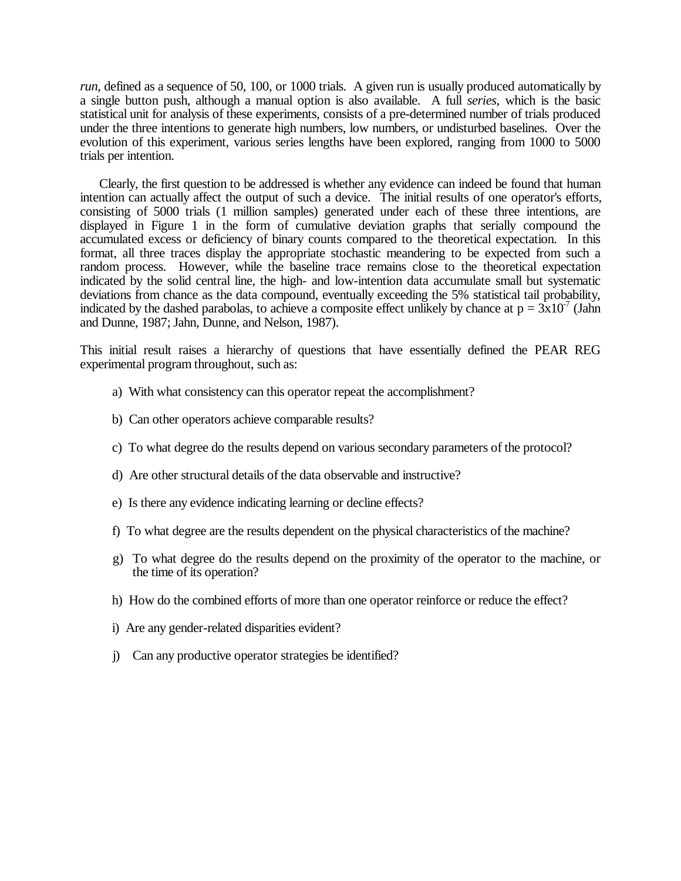*run*, defined as a sequence of 50, 100, or 1000 trials. A given run is usually produced automatically by a single button push, although a manual option is also available. A full *series*, which is the basic statistical unit for analysis of these experiments, consists of a pre-determined number of trials produced under the three intentions to generate high numbers, low numbers, or undisturbed baselines. Over the evolution of this experiment, various series lengths have been explored, ranging from 1000 to 5000 trials per intention.

 Clearly, the first question to be addressed is whether any evidence can indeed be found that human intention can actually affect the output of such a device. The initial results of one operator's efforts, consisting of 5000 trials (1 million samples) generated under each of these three intentions, are displayed in Figure 1 in the form of cumulative deviation graphs that serially compound the accumulated excess or deficiency of binary counts compared to the theoretical expectation. In this format, all three traces display the appropriate stochastic meandering to be expected from such a random process. However, while the baseline trace remains close to the theoretical expectation indicated by the solid central line, the high- and low-intention data accumulate small but systematic deviations from chance as the data compound, eventually exceeding the 5% statistical tail probability, indicated by the dashed parabolas, to achieve a composite effect unlikely by chance at  $p = 3x10<sup>-7</sup>$  (Jahn and Dunne, 1987; Jahn, Dunne, and Nelson, 1987).

This initial result raises a hierarchy of questions that have essentially defined the PEAR REG experimental program throughout, such as:

- a) With what consistency can this operator repeat the accomplishment?
- b) Can other operators achieve comparable results?
- c) To what degree do the results depend on various secondary parameters of the protocol?
- d) Are other structural details of the data observable and instructive?
- e) Is there any evidence indicating learning or decline effects?
- f) To what degree are the results dependent on the physical characteristics of the machine?
- g) To what degree do the results depend on the proximity of the operator to the machine, or the time of its operation?
- h) How do the combined efforts of more than one operator reinforce or reduce the effect?
- i) Are any gender-related disparities evident?
- j) Can any productive operator strategies be identified?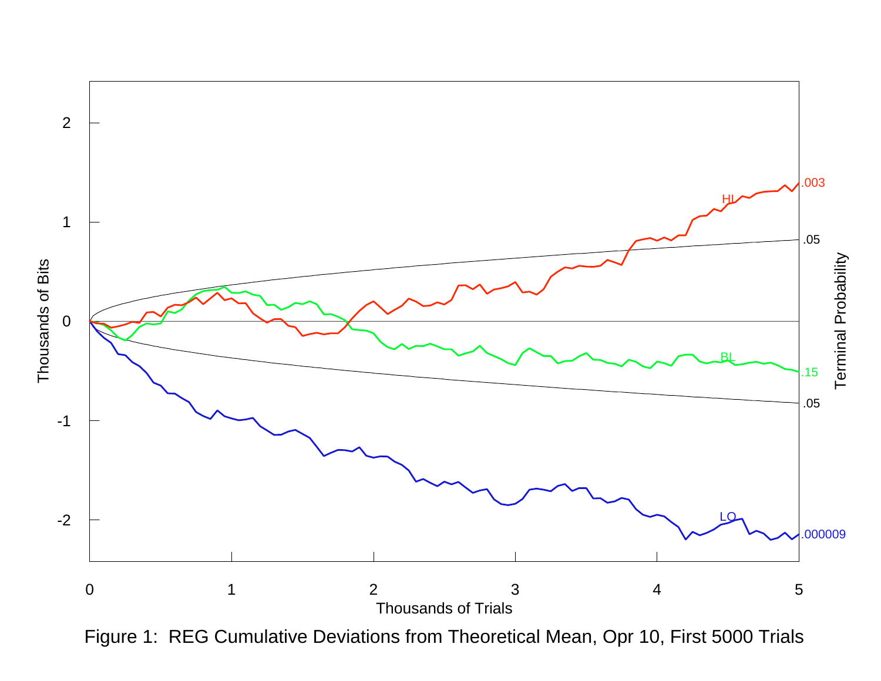

Figure 1: REG Cumulative Deviations from Theoretical Mean, Opr 10, First 5000 Trials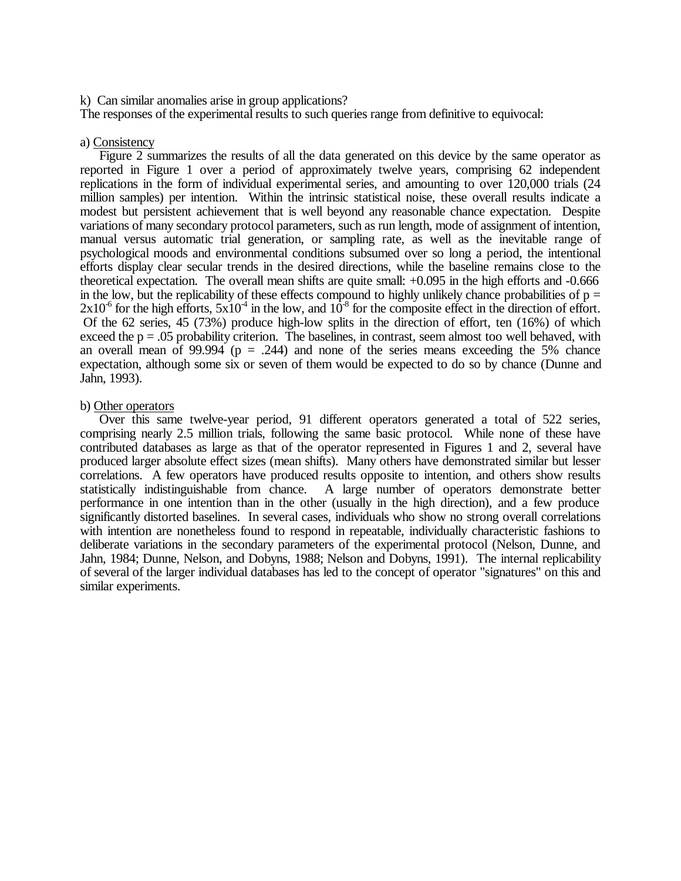k) Can similar anomalies arise in group applications?

The responses of the experimental results to such queries range from definitive to equivocal:

#### a) Consistency

 Figure 2 summarizes the results of all the data generated on this device by the same operator as reported in Figure 1 over a period of approximately twelve years, comprising 62 independent replications in the form of individual experimental series, and amounting to over 120,000 trials (24 million samples) per intention. Within the intrinsic statistical noise, these overall results indicate a modest but persistent achievement that is well beyond any reasonable chance expectation. Despite variations of many secondary protocol parameters, such as run length, mode of assignment of intention, manual versus automatic trial generation, or sampling rate, as well as the inevitable range of psychological moods and environmental conditions subsumed over so long a period, the intentional efforts display clear secular trends in the desired directions, while the baseline remains close to the theoretical expectation. The overall mean shifts are quite small: +0.095 in the high efforts and -0.666 in the low, but the replicability of these effects compound to highly unlikely chance probabilities of  $p =$  $2x10^{-6}$  for the high efforts,  $5x10^{-4}$  in the low, and  $10^{-8}$  for the composite effect in the direction of effort. Of the 62 series, 45 (73%) produce high-low splits in the direction of effort, ten (16%) of which exceed the  $p = 0.05$  probability criterion. The baselines, in contrast, seem almost too well behaved, with an overall mean of 99.994 ( $p = .244$ ) and none of the series means exceeding the 5% chance expectation, although some six or seven of them would be expected to do so by chance (Dunne and Jahn, 1993).

#### b) Other operators

 Over this same twelve-year period, 91 different operators generated a total of 522 series, comprising nearly 2.5 million trials, following the same basic protocol. While none of these have contributed databases as large as that of the operator represented in Figures 1 and 2, several have produced larger absolute effect sizes (mean shifts). Many others have demonstrated similar but lesser correlations. A few operators have produced results opposite to intention, and others show results statistically indistinguishable from chance. A large number of operators demonstrate better performance in one intention than in the other (usually in the high direction), and a few produce significantly distorted baselines. In several cases, individuals who show no strong overall correlations with intention are nonetheless found to respond in repeatable, individually characteristic fashions to deliberate variations in the secondary parameters of the experimental protocol (Nelson, Dunne, and Jahn, 1984; Dunne, Nelson, and Dobyns, 1988; Nelson and Dobyns, 1991). The internal replicability of several of the larger individual databases has led to the concept of operator "signatures" on this and similar experiments.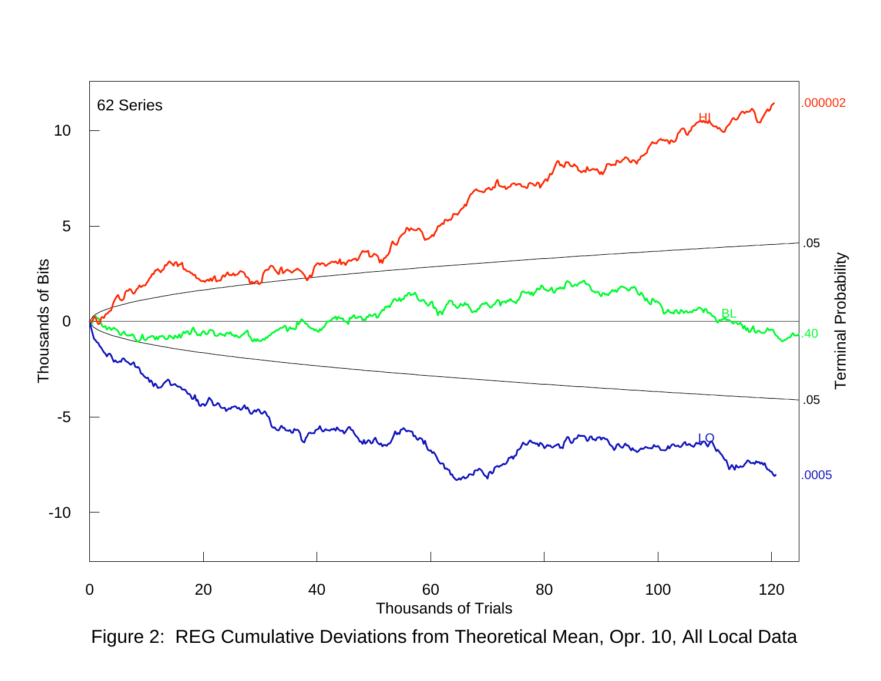

Figure 2: REG Cumulative Deviations from Theoretical Mean, Opr. 10, All Local Data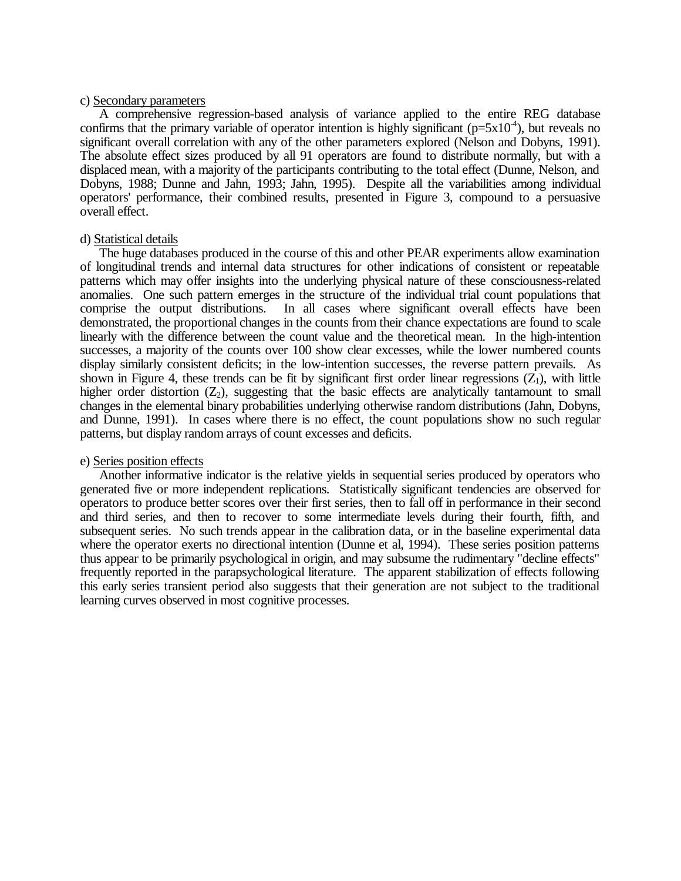#### c) Secondary parameters

 A comprehensive regression-based analysis of variance applied to the entire REG database confirms that the primary variable of operator intention is highly significant ( $p=5x10^{-4}$ ), but reveals no significant overall correlation with any of the other parameters explored (Nelson and Dobyns, 1991). The absolute effect sizes produced by all 91 operators are found to distribute normally, but with a displaced mean, with a majority of the participants contributing to the total effect (Dunne, Nelson, and Dobyns, 1988; Dunne and Jahn, 1993; Jahn, 1995). Despite all the variabilities among individual operators' performance, their combined results, presented in Figure 3, compound to a persuasive overall effect.

#### d) Statistical details

 The huge databases produced in the course of this and other PEAR experiments allow examination of longitudinal trends and internal data structures for other indications of consistent or repeatable patterns which may offer insights into the underlying physical nature of these consciousness-related anomalies. One such pattern emerges in the structure of the individual trial count populations that comprise the output distributions. In all cases where significant overall effects have been demonstrated, the proportional changes in the counts from their chance expectations are found to scale linearly with the difference between the count value and the theoretical mean. In the high-intention successes, a majority of the counts over 100 show clear excesses, while the lower numbered counts display similarly consistent deficits; in the low-intention successes, the reverse pattern prevails. As shown in Figure 4, these trends can be fit by significant first order linear regressions  $(Z_1)$ , with little higher order distortion  $(Z_2)$ , suggesting that the basic effects are analytically tantamount to small changes in the elemental binary probabilities underlying otherwise random distributions (Jahn, Dobyns, and Dunne, 1991). In cases where there is no effect, the count populations show no such regular patterns, but display random arrays of count excesses and deficits.

#### e) Series position effects

 Another informative indicator is the relative yields in sequential series produced by operators who generated five or more independent replications. Statistically significant tendencies are observed for operators to produce better scores over their first series, then to fall off in performance in their second and third series, and then to recover to some intermediate levels during their fourth, fifth, and subsequent series. No such trends appear in the calibration data, or in the baseline experimental data where the operator exerts no directional intention (Dunne et al, 1994). These series position patterns thus appear to be primarily psychological in origin, and may subsume the rudimentary "decline effects" frequently reported in the parapsychological literature. The apparent stabilization of effects following this early series transient period also suggests that their generation are not subject to the traditional learning curves observed in most cognitive processes.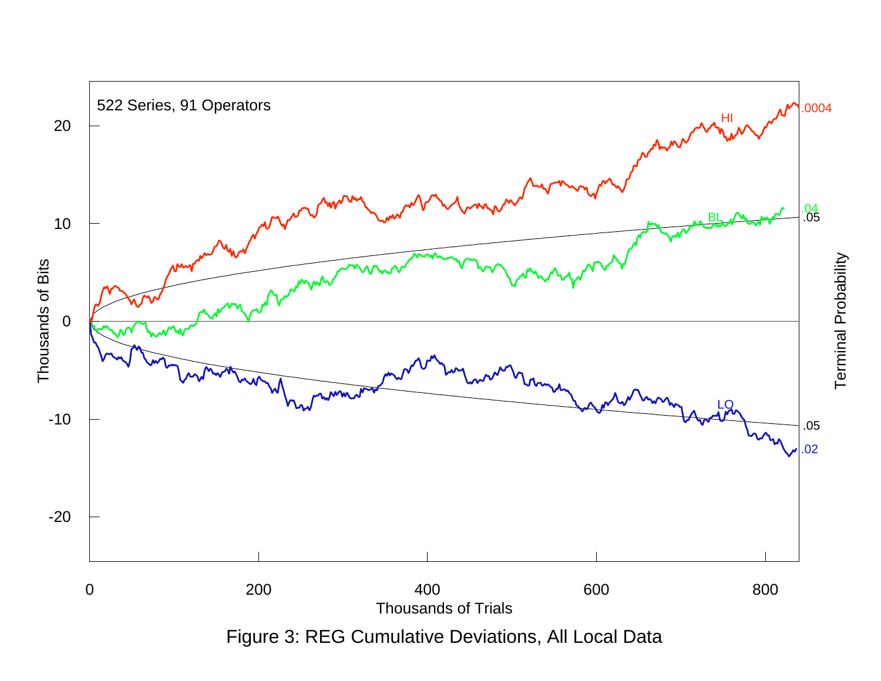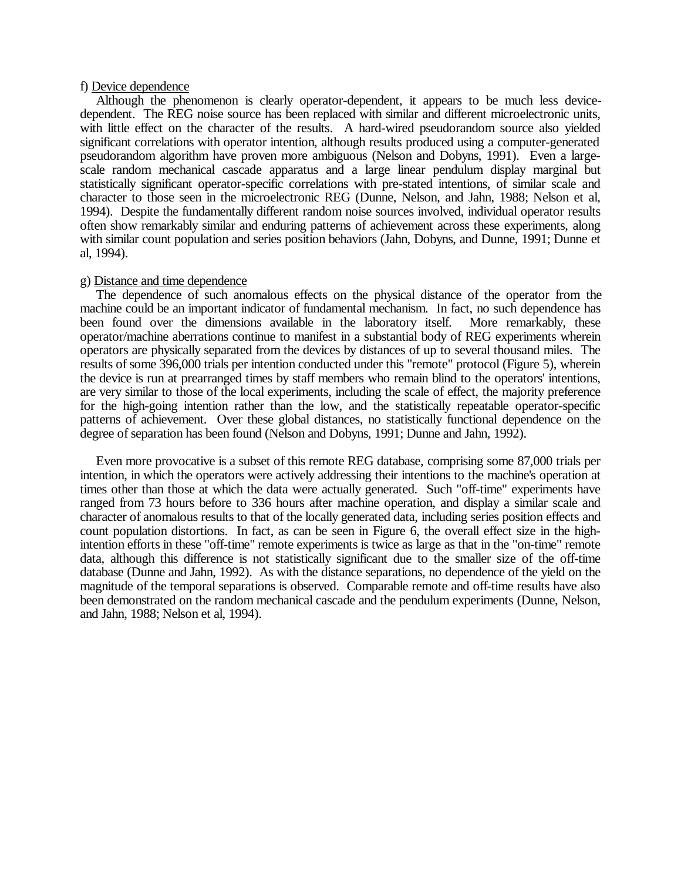#### f) Device dependence

 Although the phenomenon is clearly operator-dependent, it appears to be much less devicedependent. The REG noise source has been replaced with similar and different microelectronic units, with little effect on the character of the results. A hard-wired pseudorandom source also yielded significant correlations with operator intention, although results produced using a computer-generated pseudorandom algorithm have proven more ambiguous (Nelson and Dobyns, 1991). Even a largescale random mechanical cascade apparatus and a large linear pendulum display marginal but statistically significant operator-specific correlations with pre-stated intentions, of similar scale and character to those seen in the microelectronic REG (Dunne, Nelson, and Jahn, 1988; Nelson et al, 1994). Despite the fundamentally different random noise sources involved, individual operator results often show remarkably similar and enduring patterns of achievement across these experiments, along with similar count population and series position behaviors (Jahn, Dobyns, and Dunne, 1991; Dunne et al, 1994).

#### g) Distance and time dependence

 The dependence of such anomalous effects on the physical distance of the operator from the machine could be an important indicator of fundamental mechanism. In fact, no such dependence has been found over the dimensions available in the laboratory itself. More remarkably, these operator/machine aberrations continue to manifest in a substantial body of REG experiments wherein operators are physically separated from the devices by distances of up to several thousand miles. The results of some 396,000 trials per intention conducted under this "remote" protocol (Figure 5), wherein the device is run at prearranged times by staff members who remain blind to the operators' intentions, are very similar to those of the local experiments, including the scale of effect, the majority preference for the high-going intention rather than the low, and the statistically repeatable operator-specific patterns of achievement. Over these global distances, no statistically functional dependence on the degree of separation has been found (Nelson and Dobyns, 1991; Dunne and Jahn, 1992).

 Even more provocative is a subset of this remote REG database, comprising some 87,000 trials per intention, in which the operators were actively addressing their intentions to the machine's operation at times other than those at which the data were actually generated. Such "off-time" experiments have ranged from 73 hours before to 336 hours after machine operation, and display a similar scale and character of anomalous results to that of the locally generated data, including series position effects and count population distortions. In fact, as can be seen in Figure 6, the overall effect size in the highintention efforts in these "off-time" remote experiments is twice as large as that in the "on-time" remote data, although this difference is not statistically significant due to the smaller size of the off-time database (Dunne and Jahn, 1992). As with the distance separations, no dependence of the yield on the magnitude of the temporal separations is observed. Comparable remote and off-time results have also been demonstrated on the random mechanical cascade and the pendulum experiments (Dunne, Nelson, and Jahn, 1988; Nelson et al, 1994).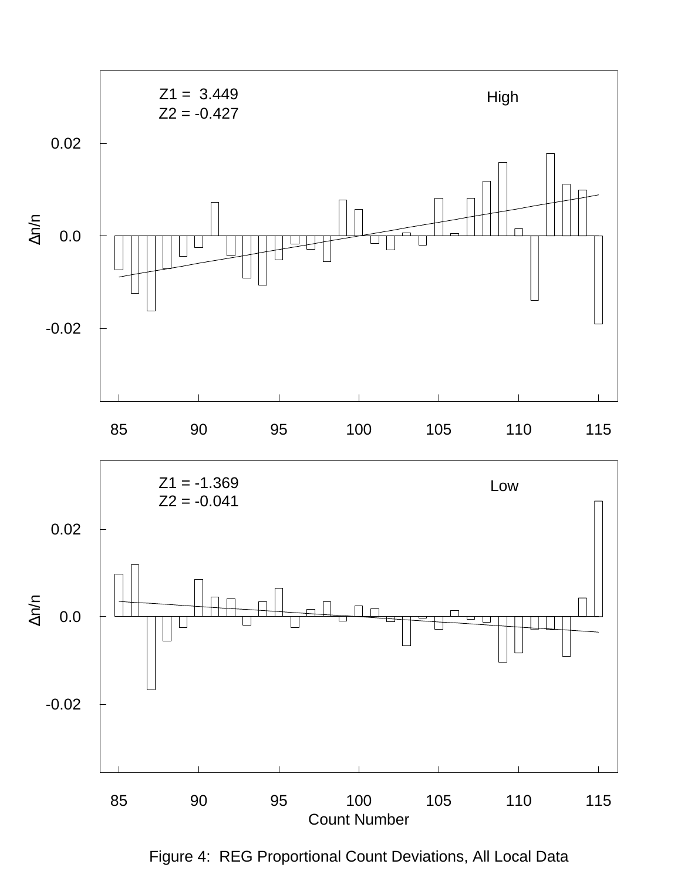

Figure 4: REG Proportional Count Deviations, All Local Data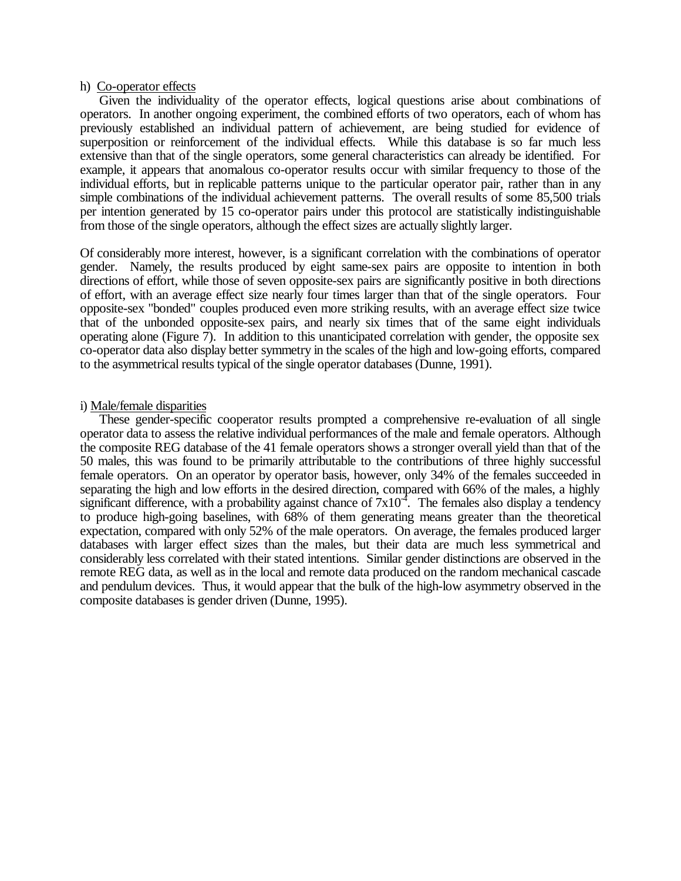#### h) Co-operator effects

 Given the individuality of the operator effects, logical questions arise about combinations of operators. In another ongoing experiment, the combined efforts of two operators, each of whom has previously established an individual pattern of achievement, are being studied for evidence of superposition or reinforcement of the individual effects. While this database is so far much less extensive than that of the single operators, some general characteristics can already be identified. For example, it appears that anomalous co-operator results occur with similar frequency to those of the individual efforts, but in replicable patterns unique to the particular operator pair, rather than in any simple combinations of the individual achievement patterns. The overall results of some 85,500 trials per intention generated by 15 co-operator pairs under this protocol are statistically indistinguishable from those of the single operators, although the effect sizes are actually slightly larger.

Of considerably more interest, however, is a significant correlation with the combinations of operator gender. Namely, the results produced by eight same-sex pairs are opposite to intention in both directions of effort, while those of seven opposite-sex pairs are significantly positive in both directions of effort, with an average effect size nearly four times larger than that of the single operators. Four opposite-sex "bonded" couples produced even more striking results, with an average effect size twice that of the unbonded opposite-sex pairs, and nearly six times that of the same eight individuals operating alone (Figure 7). In addition to this unanticipated correlation with gender, the opposite sex co-operator data also display better symmetry in the scales of the high and low-going efforts, compared to the asymmetrical results typical of the single operator databases (Dunne, 1991).

#### i) Male/female disparities

 These gender-specific cooperator results prompted a comprehensive re-evaluation of all single operator data to assess the relative individual performances of the male and female operators. Although the composite REG database of the 41 female operators shows a stronger overall yield than that of the 50 males, this was found to be primarily attributable to the contributions of three highly successful female operators. On an operator by operator basis, however, only 34% of the females succeeded in separating the high and low efforts in the desired direction, compared with 66% of the males, a highly significant difference, with a probability against chance of  $7x10^{-4}$ . The females also display a tendency to produce high-going baselines, with 68% of them generating means greater than the theoretical expectation, compared with only 52% of the male operators. On average, the females produced larger databases with larger effect sizes than the males, but their data are much less symmetrical and considerably less correlated with their stated intentions. Similar gender distinctions are observed in the remote REG data, as well as in the local and remote data produced on the random mechanical cascade and pendulum devices. Thus, it would appear that the bulk of the high-low asymmetry observed in the composite databases is gender driven (Dunne, 1995).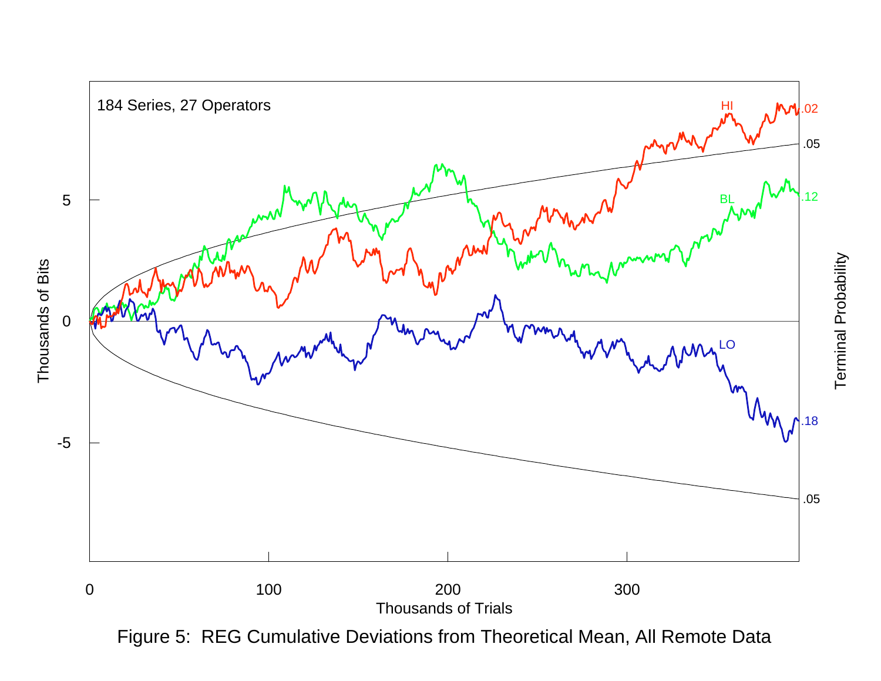

Figure 5: REG Cumulative Deviations from Theoretical Mean, All Remote Data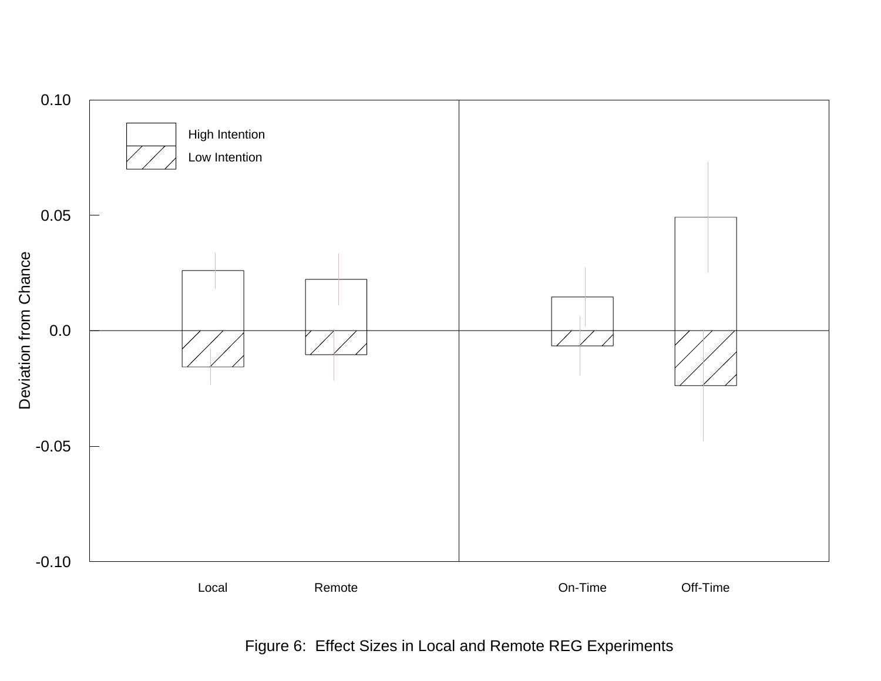

Figure 6: Effect Sizes in Local and Remote REG Experiments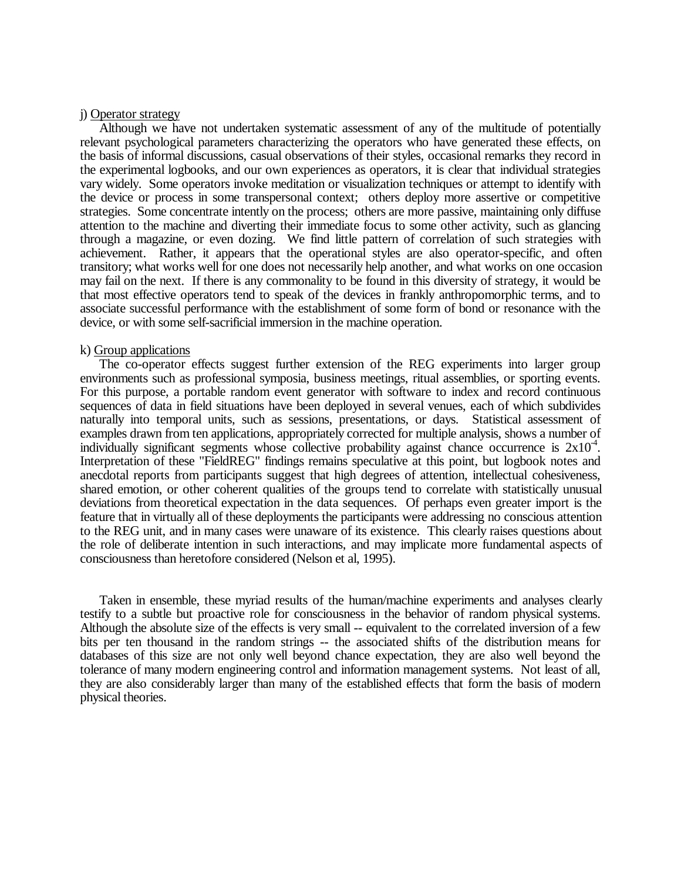#### j) Operator strategy

 Although we have not undertaken systematic assessment of any of the multitude of potentially relevant psychological parameters characterizing the operators who have generated these effects, on the basis of informal discussions, casual observations of their styles, occasional remarks they record in the experimental logbooks, and our own experiences as operators, it is clear that individual strategies vary widely. Some operators invoke meditation or visualization techniques or attempt to identify with the device or process in some transpersonal context; others deploy more assertive or competitive strategies. Some concentrate intently on the process; others are more passive, maintaining only diffuse attention to the machine and diverting their immediate focus to some other activity, such as glancing through a magazine, or even dozing. We find little pattern of correlation of such strategies with achievement. Rather, it appears that the operational styles are also operator-specific, and often transitory; what works well for one does not necessarily help another, and what works on one occasion may fail on the next. If there is any commonality to be found in this diversity of strategy, it would be that most effective operators tend to speak of the devices in frankly anthropomorphic terms, and to associate successful performance with the establishment of some form of bond or resonance with the device, or with some self-sacrificial immersion in the machine operation.

#### k) Group applications

 The co-operator effects suggest further extension of the REG experiments into larger group environments such as professional symposia, business meetings, ritual assemblies, or sporting events. For this purpose, a portable random event generator with software to index and record continuous sequences of data in field situations have been deployed in several venues, each of which subdivides naturally into temporal units, such as sessions, presentations, or days. Statistical assessment of examples drawn from ten applications, appropriately corrected for multiple analysis, shows a number of individually significant segments whose collective probability against chance occurrence is  $2x10<sup>-4</sup>$ . Interpretation of these "FieldREG" findings remains speculative at this point, but logbook notes and anecdotal reports from participants suggest that high degrees of attention, intellectual cohesiveness, shared emotion, or other coherent qualities of the groups tend to correlate with statistically unusual deviations from theoretical expectation in the data sequences. Of perhaps even greater import is the feature that in virtually all of these deployments the participants were addressing no conscious attention to the REG unit, and in many cases were unaware of its existence. This clearly raises questions about the role of deliberate intention in such interactions, and may implicate more fundamental aspects of consciousness than heretofore considered (Nelson et al, 1995).

 Taken in ensemble, these myriad results of the human/machine experiments and analyses clearly testify to a subtle but proactive role for consciousness in the behavior of random physical systems. Although the absolute size of the effects is very small -- equivalent to the correlated inversion of a few bits per ten thousand in the random strings -- the associated shifts of the distribution means for databases of this size are not only well beyond chance expectation, they are also well beyond the tolerance of many modern engineering control and information management systems. Not least of all, they are also considerably larger than many of the established effects that form the basis of modern physical theories.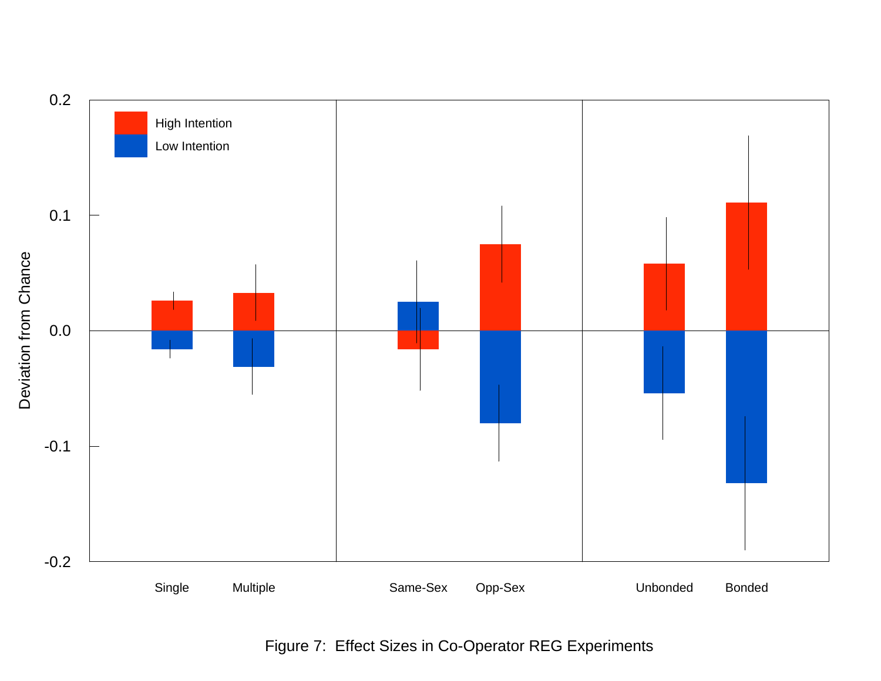![](_page_18_Figure_0.jpeg)

Figure 7: Effect Sizes in Co-Operator REG Experiments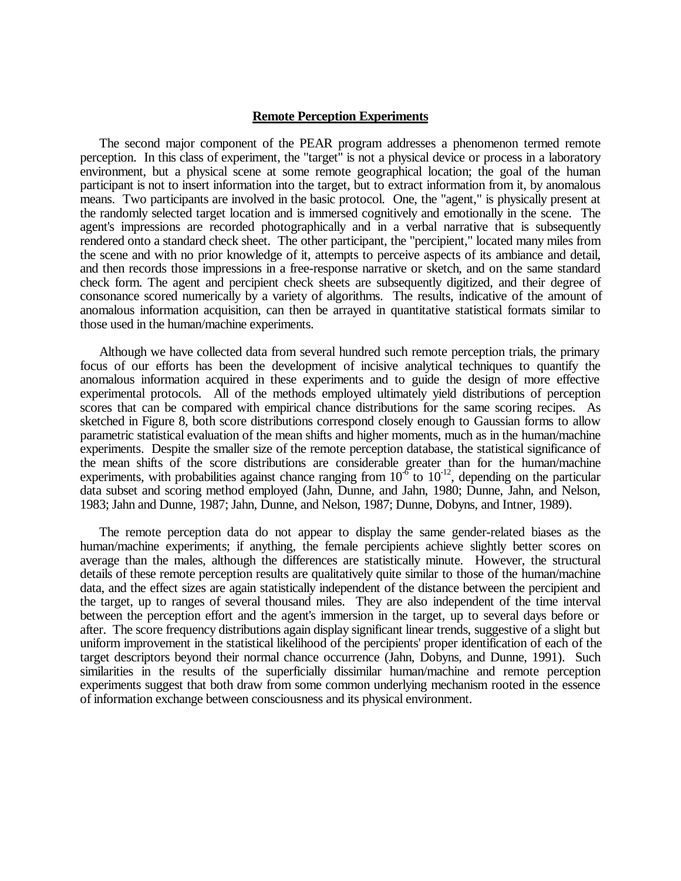#### **Remote Perception Experiments**

 The second major component of the PEAR program addresses a phenomenon termed remote perception. In this class of experiment, the "target" is not a physical device or process in a laboratory environment, but a physical scene at some remote geographical location; the goal of the human participant is not to insert information into the target, but to extract information from it, by anomalous means. Two participants are involved in the basic protocol. One, the "agent," is physically present at the randomly selected target location and is immersed cognitively and emotionally in the scene. The agent's impressions are recorded photographically and in a verbal narrative that is subsequently rendered onto a standard check sheet. The other participant, the "percipient," located many miles from the scene and with no prior knowledge of it, attempts to perceive aspects of its ambiance and detail, and then records those impressions in a free-response narrative or sketch, and on the same standard check form. The agent and percipient check sheets are subsequently digitized, and their degree of consonance scored numerically by a variety of algorithms. The results, indicative of the amount of anomalous information acquisition, can then be arrayed in quantitative statistical formats similar to those used in the human/machine experiments.

 Although we have collected data from several hundred such remote perception trials, the primary focus of our efforts has been the development of incisive analytical techniques to quantify the anomalous information acquired in these experiments and to guide the design of more effective experimental protocols. All of the methods employed ultimately yield distributions of perception scores that can be compared with empirical chance distributions for the same scoring recipes. As sketched in Figure 8, both score distributions correspond closely enough to Gaussian forms to allow parametric statistical evaluation of the mean shifts and higher moments, much as in the human/machine experiments. Despite the smaller size of the remote perception database, the statistical significance of the mean shifts of the score distributions are considerable greater than for the human/machine experiments, with probabilities against chance ranging from  $10^{-6}$  to  $10^{-12}$ , depending on the particular data subset and scoring method employed (Jahn, Dunne, and Jahn, 1980; Dunne, Jahn, and Nelson, 1983; Jahn and Dunne, 1987; Jahn, Dunne, and Nelson, 1987; Dunne, Dobyns, and Intner, 1989).

 The remote perception data do not appear to display the same gender-related biases as the human/machine experiments; if anything, the female percipients achieve slightly better scores on average than the males, although the differences are statistically minute. However, the structural details of these remote perception results are qualitatively quite similar to those of the human/machine data, and the effect sizes are again statistically independent of the distance between the percipient and the target, up to ranges of several thousand miles. They are also independent of the time interval between the perception effort and the agent's immersion in the target, up to several days before or after. The score frequency distributions again display significant linear trends, suggestive of a slight but uniform improvement in the statistical likelihood of the percipients' proper identification of each of the target descriptors beyond their normal chance occurrence (Jahn, Dobyns, and Dunne, 1991). Such similarities in the results of the superficially dissimilar human/machine and remote perception experiments suggest that both draw from some common underlying mechanism rooted in the essence of information exchange between consciousness and its physical environment.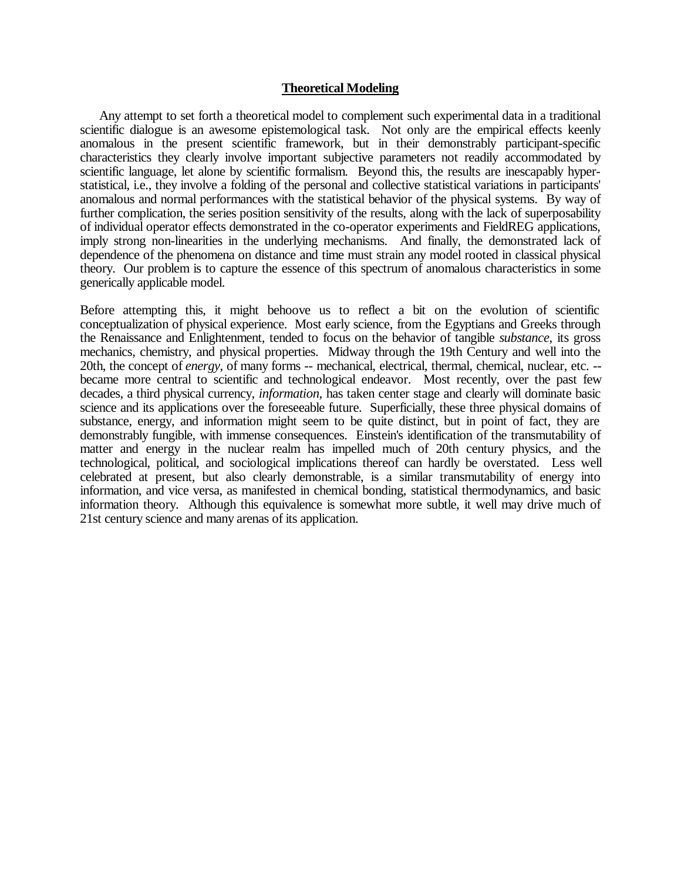#### **Theoretical Modeling**

 Any attempt to set forth a theoretical model to complement such experimental data in a traditional scientific dialogue is an awesome epistemological task. Not only are the empirical effects keenly anomalous in the present scientific framework, but in their demonstrably participant-specific characteristics they clearly involve important subjective parameters not readily accommodated by scientific language, let alone by scientific formalism. Beyond this, the results are inescapably hyperstatistical, i.e., they involve a folding of the personal and collective statistical variations in participants' anomalous and normal performances with the statistical behavior of the physical systems. By way of further complication, the series position sensitivity of the results, along with the lack of superposability of individual operator effects demonstrated in the co-operator experiments and FieldREG applications, imply strong non-linearities in the underlying mechanisms. And finally, the demonstrated lack of dependence of the phenomena on distance and time must strain any model rooted in classical physical theory. Our problem is to capture the essence of this spectrum of anomalous characteristics in some generically applicable model.

Before attempting this, it might behoove us to reflect a bit on the evolution of scientific conceptualization of physical experience. Most early science, from the Egyptians and Greeks through the Renaissance and Enlightenment, tended to focus on the behavior of tangible *substance*, its gross mechanics, chemistry, and physical properties. Midway through the 19th Century and well into the 20th, the concept of *energy*, of many forms -- mechanical, electrical, thermal, chemical, nuclear, etc. - became more central to scientific and technological endeavor. Most recently, over the past few decades, a third physical currency, *information*, has taken center stage and clearly will dominate basic science and its applications over the foreseeable future. Superficially, these three physical domains of substance, energy, and information might seem to be quite distinct, but in point of fact, they are demonstrably fungible, with immense consequences. Einstein's identification of the transmutability of matter and energy in the nuclear realm has impelled much of 20th century physics, and the technological, political, and sociological implications thereof can hardly be overstated. Less well celebrated at present, but also clearly demonstrable, is a similar transmutability of energy into information, and vice versa, as manifested in chemical bonding, statistical thermodynamics, and basic information theory. Although this equivalence is somewhat more subtle, it well may drive much of 21st century science and many arenas of its application.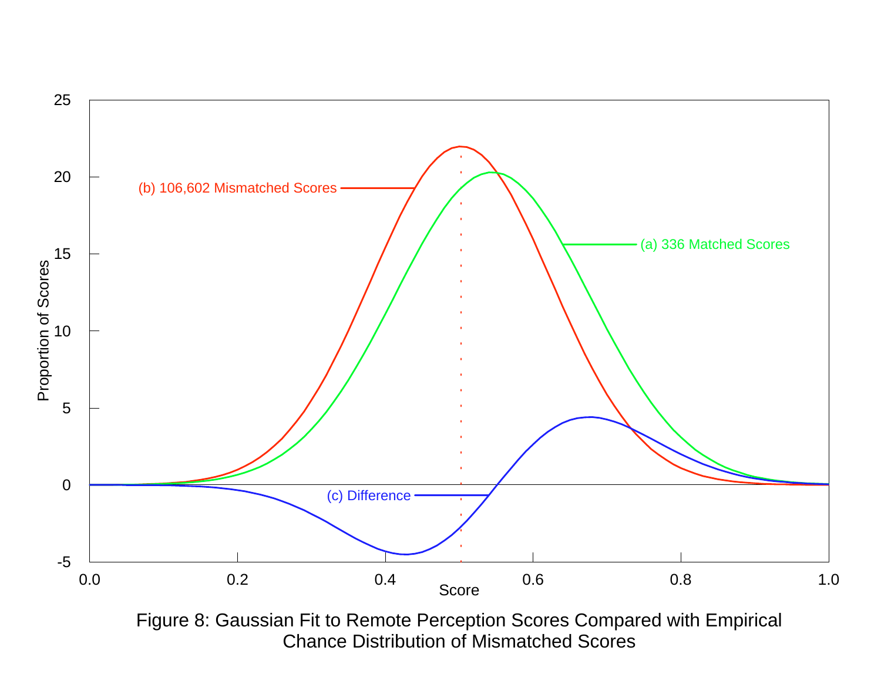![](_page_21_Figure_0.jpeg)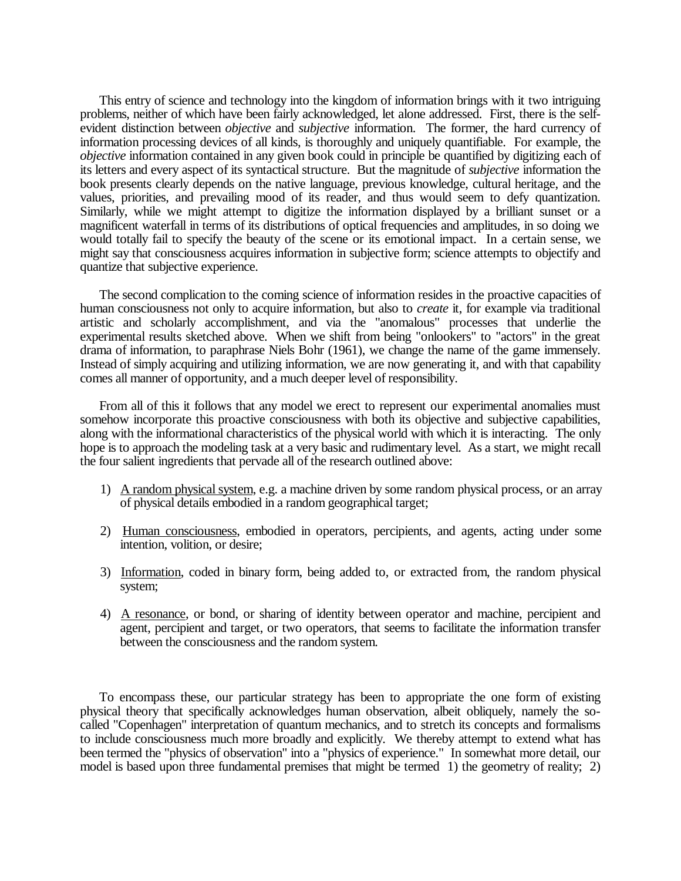This entry of science and technology into the kingdom of information brings with it two intriguing problems, neither of which have been fairly acknowledged, let alone addressed. First, there is the selfevident distinction between *objective* and *subjective* information. The former, the hard currency of information processing devices of all kinds, is thoroughly and uniquely quantifiable. For example, the *objective* information contained in any given book could in principle be quantified by digitizing each of its letters and every aspect of its syntactical structure. But the magnitude of *subjective* information the book presents clearly depends on the native language, previous knowledge, cultural heritage, and the values, priorities, and prevailing mood of its reader, and thus would seem to defy quantization. Similarly, while we might attempt to digitize the information displayed by a brilliant sunset or a magnificent waterfall in terms of its distributions of optical frequencies and amplitudes, in so doing we would totally fail to specify the beauty of the scene or its emotional impact. In a certain sense, we might say that consciousness acquires information in subjective form; science attempts to objectify and quantize that subjective experience.

 The second complication to the coming science of information resides in the proactive capacities of human consciousness not only to acquire information, but also to *create* it, for example via traditional artistic and scholarly accomplishment, and via the "anomalous" processes that underlie the experimental results sketched above. When we shift from being "onlookers" to "actors" in the great drama of information, to paraphrase Niels Bohr (1961), we change the name of the game immensely. Instead of simply acquiring and utilizing information, we are now generating it, and with that capability comes all manner of opportunity, and a much deeper level of responsibility.

 From all of this it follows that any model we erect to represent our experimental anomalies must somehow incorporate this proactive consciousness with both its objective and subjective capabilities, along with the informational characteristics of the physical world with which it is interacting. The only hope is to approach the modeling task at a very basic and rudimentary level. As a start, we might recall the four salient ingredients that pervade all of the research outlined above:

- 1) A random physical system, e.g. a machine driven by some random physical process, or an array of physical details embodied in a random geographical target;
- 2) Human consciousness, embodied in operators, percipients, and agents, acting under some intention, volition, or desire;
- 3) Information, coded in binary form, being added to, or extracted from, the random physical system;
- 4) A resonance, or bond, or sharing of identity between operator and machine, percipient and agent, percipient and target, or two operators, that seems to facilitate the information transfer between the consciousness and the random system.

 To encompass these, our particular strategy has been to appropriate the one form of existing physical theory that specifically acknowledges human observation, albeit obliquely, namely the socalled "Copenhagen" interpretation of quantum mechanics, and to stretch its concepts and formalisms to include consciousness much more broadly and explicitly. We thereby attempt to extend what has been termed the "physics of observation" into a "physics of experience." In somewhat more detail, our model is based upon three fundamental premises that might be termed 1) the geometry of reality; 2)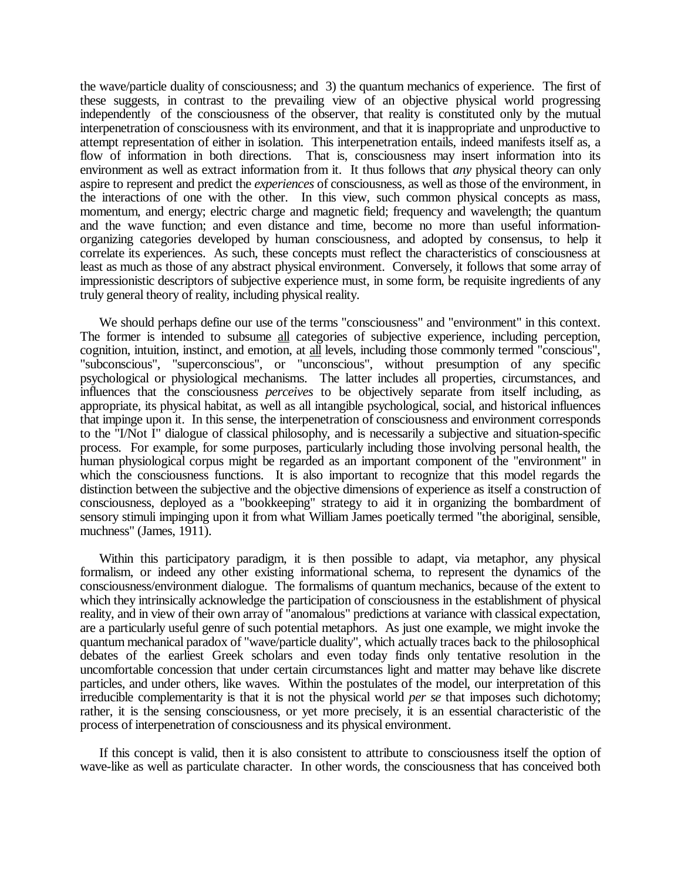the wave/particle duality of consciousness; and 3) the quantum mechanics of experience. The first of these suggests, in contrast to the prevailing view of an objective physical world progressing independently of the consciousness of the observer, that reality is constituted only by the mutual interpenetration of consciousness with its environment, and that it is inappropriate and unproductive to attempt representation of either in isolation. This interpenetration entails, indeed manifests itself as, a flow of information in both directions. That is, consciousness may insert information into its environment as well as extract information from it. It thus follows that *any* physical theory can only aspire to represent and predict the *experiences* of consciousness, as well as those of the environment, in the interactions of one with the other. In this view, such common physical concepts as mass, momentum, and energy; electric charge and magnetic field; frequency and wavelength; the quantum and the wave function; and even distance and time, become no more than useful informationorganizing categories developed by human consciousness, and adopted by consensus, to help it correlate its experiences. As such, these concepts must reflect the characteristics of consciousness at least as much as those of any abstract physical environment. Conversely, it follows that some array of impressionistic descriptors of subjective experience must, in some form, be requisite ingredients of any truly general theory of reality, including physical reality.

 We should perhaps define our use of the terms "consciousness" and "environment" in this context. The former is intended to subsume all categories of subjective experience, including perception, cognition, intuition, instinct, and emotion, at all levels, including those commonly termed "conscious", "subconscious", "superconscious", or "unconscious", without presumption of any specific psychological or physiological mechanisms. The latter includes all properties, circumstances, and influences that the consciousness *perceives* to be objectively separate from itself including, as appropriate, its physical habitat, as well as all intangible psychological, social, and historical influences that impinge upon it. In this sense, the interpenetration of consciousness and environment corresponds to the "I/Not I" dialogue of classical philosophy, and is necessarily a subjective and situation-specific process. For example, for some purposes, particularly including those involving personal health, the human physiological corpus might be regarded as an important component of the "environment" in which the consciousness functions. It is also important to recognize that this model regards the distinction between the subjective and the objective dimensions of experience as itself a construction of consciousness, deployed as a "bookkeeping" strategy to aid it in organizing the bombardment of sensory stimuli impinging upon it from what William James poetically termed "the aboriginal, sensible, muchness" (James, 1911).

 Within this participatory paradigm, it is then possible to adapt, via metaphor, any physical formalism, or indeed any other existing informational schema, to represent the dynamics of the consciousness/environment dialogue. The formalisms of quantum mechanics, because of the extent to which they intrinsically acknowledge the participation of consciousness in the establishment of physical reality, and in view of their own array of "anomalous" predictions at variance with classical expectation, are a particularly useful genre of such potential metaphors. As just one example, we might invoke the quantum mechanical paradox of "wave/particle duality", which actually traces back to the philosophical debates of the earliest Greek scholars and even today finds only tentative resolution in the uncomfortable concession that under certain circumstances light and matter may behave like discrete particles, and under others, like waves. Within the postulates of the model, our interpretation of this irreducible complementarity is that it is not the physical world *per se* that imposes such dichotomy; rather, it is the sensing consciousness, or yet more precisely, it is an essential characteristic of the process of interpenetration of consciousness and its physical environment.

 If this concept is valid, then it is also consistent to attribute to consciousness itself the option of wave-like as well as particulate character. In other words, the consciousness that has conceived both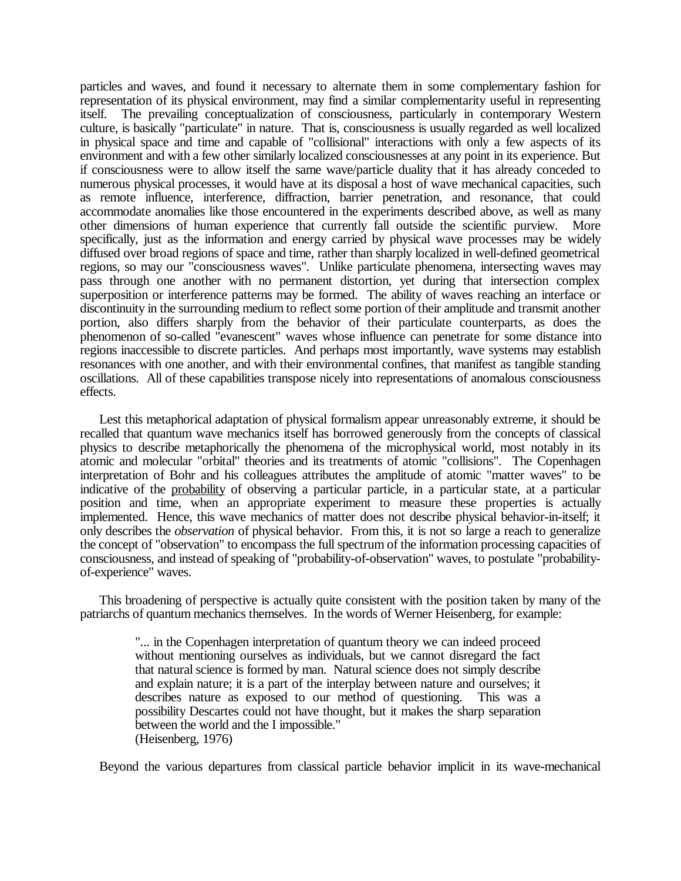particles and waves, and found it necessary to alternate them in some complementary fashion for representation of its physical environment, may find a similar complementarity useful in representing itself. The prevailing conceptualization of consciousness, particularly in contemporary Western culture, is basically "particulate" in nature. That is, consciousness is usually regarded as well localized in physical space and time and capable of "collisional" interactions with only a few aspects of its environment and with a few other similarly localized consciousnesses at any point in its experience. But if consciousness were to allow itself the same wave/particle duality that it has already conceded to numerous physical processes, it would have at its disposal a host of wave mechanical capacities, such as remote influence, interference, diffraction, barrier penetration, and resonance, that could accommodate anomalies like those encountered in the experiments described above, as well as many other dimensions of human experience that currently fall outside the scientific purview. More specifically, just as the information and energy carried by physical wave processes may be widely diffused over broad regions of space and time, rather than sharply localized in well-defined geometrical regions, so may our "consciousness waves". Unlike particulate phenomena, intersecting waves may pass through one another with no permanent distortion, yet during that intersection complex superposition or interference patterns may be formed. The ability of waves reaching an interface or discontinuity in the surrounding medium to reflect some portion of their amplitude and transmit another portion, also differs sharply from the behavior of their particulate counterparts, as does the phenomenon of so-called "evanescent" waves whose influence can penetrate for some distance into regions inaccessible to discrete particles. And perhaps most importantly, wave systems may establish resonances with one another, and with their environmental confines, that manifest as tangible standing oscillations. All of these capabilities transpose nicely into representations of anomalous consciousness effects.

 Lest this metaphorical adaptation of physical formalism appear unreasonably extreme, it should be recalled that quantum wave mechanics itself has borrowed generously from the concepts of classical physics to describe metaphorically the phenomena of the microphysical world, most notably in its atomic and molecular "orbital" theories and its treatments of atomic "collisions". The Copenhagen interpretation of Bohr and his colleagues attributes the amplitude of atomic "matter waves" to be indicative of the probability of observing a particular particle, in a particular state, at a particular position and time, when an appropriate experiment to measure these properties is actually implemented. Hence, this wave mechanics of matter does not describe physical behavior-in-itself; it only describes the *observation* of physical behavior. From this, it is not so large a reach to generalize the concept of "observation" to encompass the full spectrum of the information processing capacities of consciousness, and instead of speaking of "probability-of-observation" waves, to postulate "probabilityof-experience" waves.

 This broadening of perspective is actually quite consistent with the position taken by many of the patriarchs of quantum mechanics themselves. In the words of Werner Heisenberg, for example:

> "... in the Copenhagen interpretation of quantum theory we can indeed proceed without mentioning ourselves as individuals, but we cannot disregard the fact that natural science is formed by man. Natural science does not simply describe and explain nature; it is a part of the interplay between nature and ourselves; it describes nature as exposed to our method of questioning. This was a possibility Descartes could not have thought, but it makes the sharp separation between the world and the I impossible." (Heisenberg, 1976)

Beyond the various departures from classical particle behavior implicit in its wave-mechanical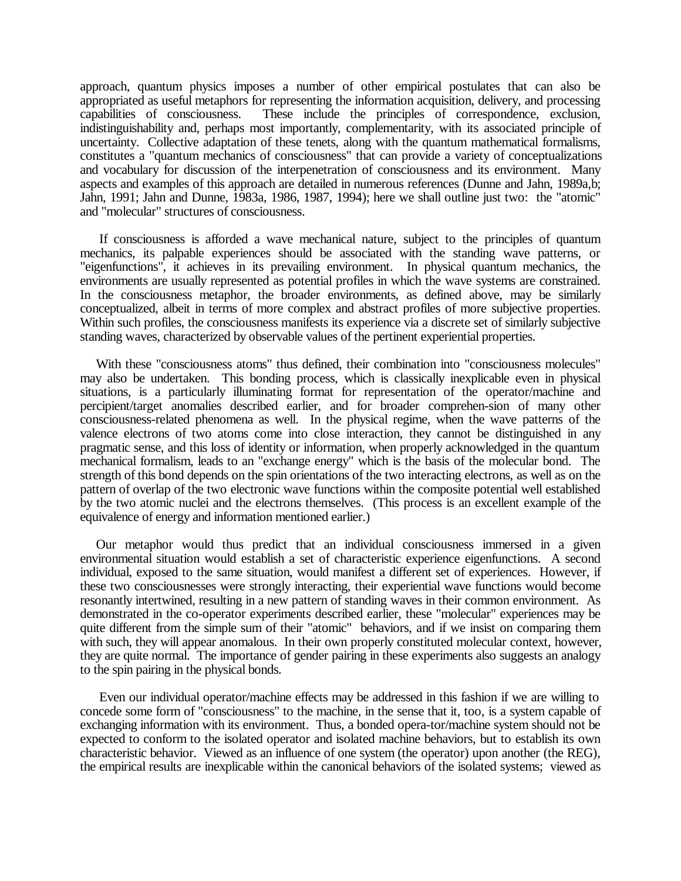approach, quantum physics imposes a number of other empirical postulates that can also be appropriated as useful metaphors for representing the information acquisition, delivery, and processing capabilities of consciousness. These include the principles of correspondence, exclusion, indistinguishability and, perhaps most importantly, complementarity, with its associated principle of uncertainty. Collective adaptation of these tenets, along with the quantum mathematical formalisms, constitutes a "quantum mechanics of consciousness" that can provide a variety of conceptualizations and vocabulary for discussion of the interpenetration of consciousness and its environment. Many aspects and examples of this approach are detailed in numerous references (Dunne and Jahn, 1989a,b; Jahn, 1991; Jahn and Dunne, 1983a, 1986, 1987, 1994); here we shall outline just two: the "atomic" and "molecular" structures of consciousness.

 If consciousness is afforded a wave mechanical nature, subject to the principles of quantum mechanics, its palpable experiences should be associated with the standing wave patterns, or "eigenfunctions", it achieves in its prevailing environment. In physical quantum mechanics, the environments are usually represented as potential profiles in which the wave systems are constrained. In the consciousness metaphor, the broader environments, as defined above, may be similarly conceptualized, albeit in terms of more complex and abstract profiles of more subjective properties. Within such profiles, the consciousness manifests its experience via a discrete set of similarly subjective standing waves, characterized by observable values of the pertinent experiential properties.

 With these "consciousness atoms" thus defined, their combination into "consciousness molecules" may also be undertaken. This bonding process, which is classically inexplicable even in physical situations, is a particularly illuminating format for representation of the operator/machine and percipient/target anomalies described earlier, and for broader comprehen-sion of many other consciousness-related phenomena as well. In the physical regime, when the wave patterns of the valence electrons of two atoms come into close interaction, they cannot be distinguished in any pragmatic sense, and this loss of identity or information, when properly acknowledged in the quantum mechanical formalism, leads to an "exchange energy" which is the basis of the molecular bond. The strength of this bond depends on the spin orientations of the two interacting electrons, as well as on the pattern of overlap of the two electronic wave functions within the composite potential well established by the two atomic nuclei and the electrons themselves. (This process is an excellent example of the equivalence of energy and information mentioned earlier.)

 Our metaphor would thus predict that an individual consciousness immersed in a given environmental situation would establish a set of characteristic experience eigenfunctions. A second individual, exposed to the same situation, would manifest a different set of experiences. However, if these two consciousnesses were strongly interacting, their experiential wave functions would become resonantly intertwined, resulting in a new pattern of standing waves in their common environment. As demonstrated in the co-operator experiments described earlier, these "molecular" experiences may be quite different from the simple sum of their "atomic" behaviors, and if we insist on comparing them with such, they will appear anomalous. In their own properly constituted molecular context, however, they are quite normal. The importance of gender pairing in these experiments also suggests an analogy to the spin pairing in the physical bonds.

 Even our individual operator/machine effects may be addressed in this fashion if we are willing to concede some form of "consciousness" to the machine, in the sense that it, too, is a system capable of exchanging information with its environment. Thus, a bonded opera-tor/machine system should not be expected to conform to the isolated operator and isolated machine behaviors, but to establish its own characteristic behavior. Viewed as an influence of one system (the operator) upon another (the REG), the empirical results are inexplicable within the canonical behaviors of the isolated systems; viewed as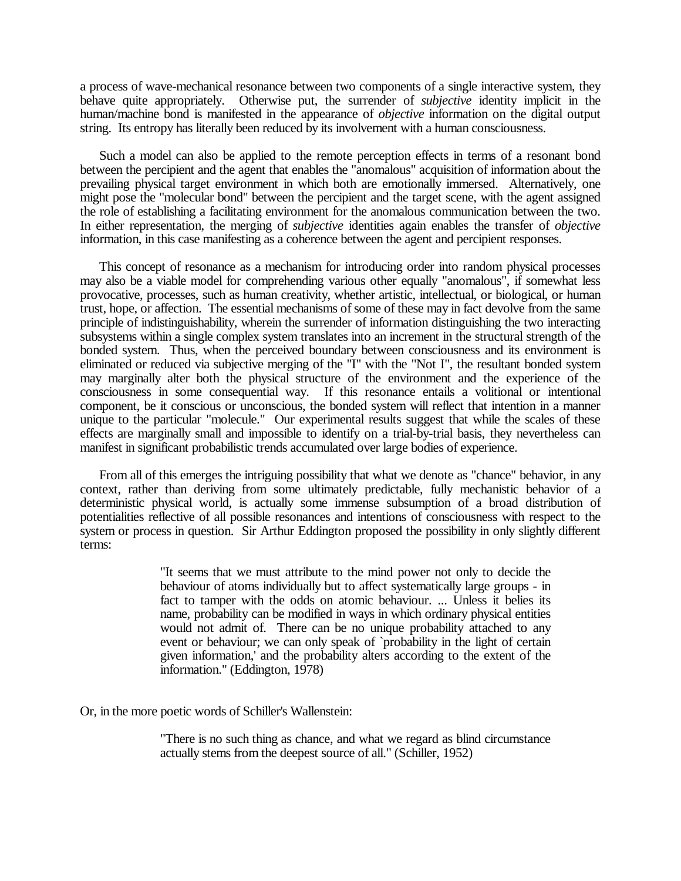a process of wave-mechanical resonance between two components of a single interactive system, they behave quite appropriately. Otherwise put, the surrender of *subjective* identity implicit in the human/machine bond is manifested in the appearance of *objective* information on the digital output string. Its entropy has literally been reduced by its involvement with a human consciousness.

 Such a model can also be applied to the remote perception effects in terms of a resonant bond between the percipient and the agent that enables the "anomalous" acquisition of information about the prevailing physical target environment in which both are emotionally immersed. Alternatively, one might pose the "molecular bond" between the percipient and the target scene, with the agent assigned the role of establishing a facilitating environment for the anomalous communication between the two. In either representation, the merging of *subjective* identities again enables the transfer of *objective* information, in this case manifesting as a coherence between the agent and percipient responses.

 This concept of resonance as a mechanism for introducing order into random physical processes may also be a viable model for comprehending various other equally "anomalous", if somewhat less provocative, processes, such as human creativity, whether artistic, intellectual, or biological, or human trust, hope, or affection. The essential mechanisms of some of these may in fact devolve from the same principle of indistinguishability, wherein the surrender of information distinguishing the two interacting subsystems within a single complex system translates into an increment in the structural strength of the bonded system. Thus, when the perceived boundary between consciousness and its environment is eliminated or reduced via subjective merging of the "I" with the "Not I", the resultant bonded system may marginally alter both the physical structure of the environment and the experience of the consciousness in some consequential way. If this resonance entails a volitional or intentional component, be it conscious or unconscious, the bonded system will reflect that intention in a manner unique to the particular "molecule." Our experimental results suggest that while the scales of these effects are marginally small and impossible to identify on a trial-by-trial basis, they nevertheless can manifest in significant probabilistic trends accumulated over large bodies of experience.

 From all of this emerges the intriguing possibility that what we denote as "chance" behavior, in any context, rather than deriving from some ultimately predictable, fully mechanistic behavior of a deterministic physical world, is actually some immense subsumption of a broad distribution of potentialities reflective of all possible resonances and intentions of consciousness with respect to the system or process in question. Sir Arthur Eddington proposed the possibility in only slightly different terms:

> "It seems that we must attribute to the mind power not only to decide the behaviour of atoms individually but to affect systematically large groups - in fact to tamper with the odds on atomic behaviour. ... Unless it belies its name, probability can be modified in ways in which ordinary physical entities would not admit of. There can be no unique probability attached to any event or behaviour; we can only speak of `probability in the light of certain given information,' and the probability alters according to the extent of the information." (Eddington, 1978)

Or, in the more poetic words of Schiller's Wallenstein:

"There is no such thing as chance, and what we regard as blind circumstance actually stems from the deepest source of all." (Schiller, 1952)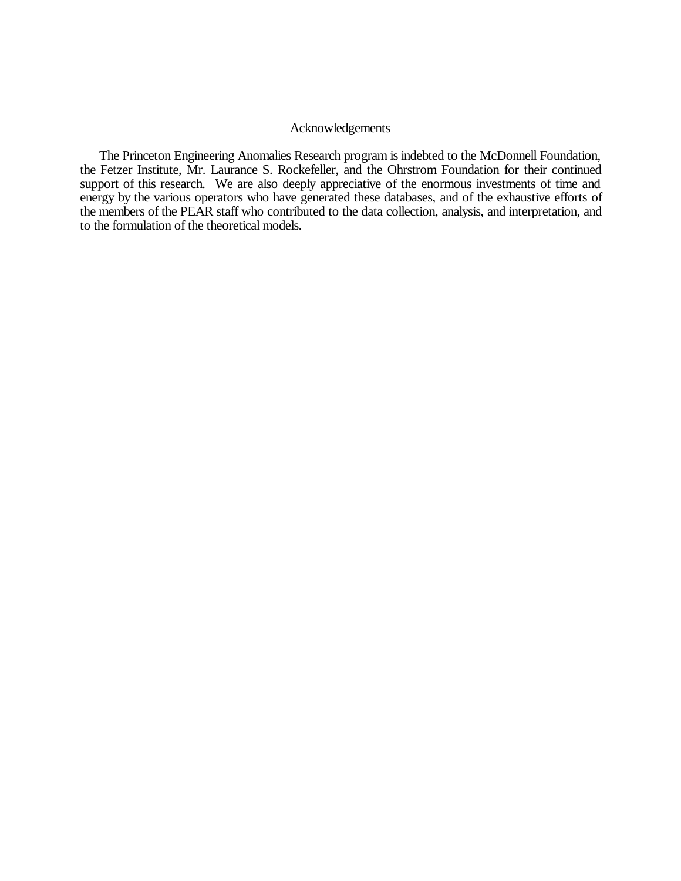#### **Acknowledgements**

 The Princeton Engineering Anomalies Research program is indebted to the McDonnell Foundation, the Fetzer Institute, Mr. Laurance S. Rockefeller, and the Ohrstrom Foundation for their continued support of this research. We are also deeply appreciative of the enormous investments of time and energy by the various operators who have generated these databases, and of the exhaustive efforts of the members of the PEAR staff who contributed to the data collection, analysis, and interpretation, and to the formulation of the theoretical models.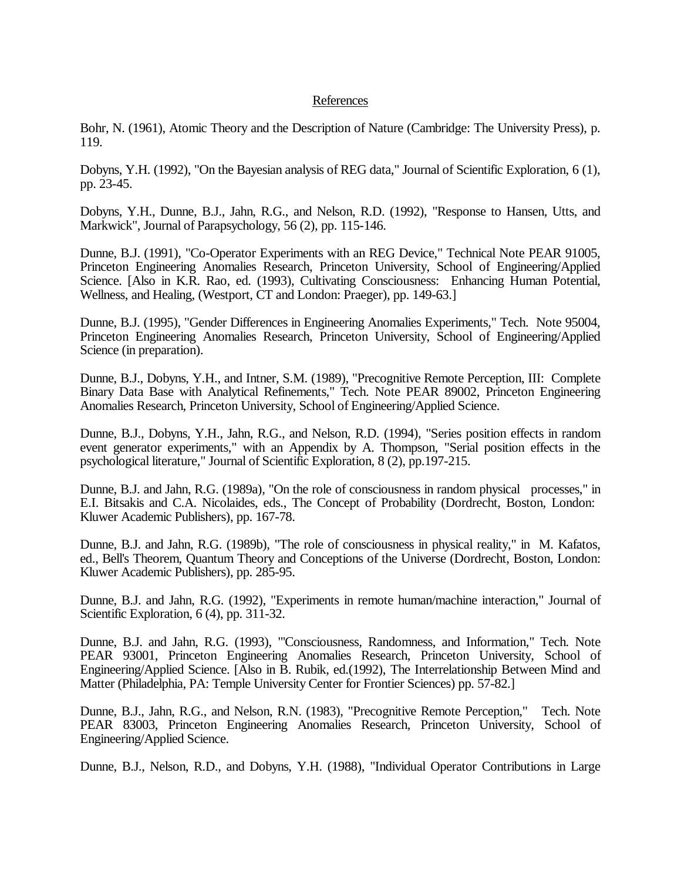#### References

Bohr, N. (1961), Atomic Theory and the Description of Nature (Cambridge: The University Press), p. 119.

Dobyns, Y.H. (1992), "On the Bayesian analysis of REG data," Journal of Scientific Exploration, 6 (1), pp. 23-45.

Dobyns, Y.H., Dunne, B.J., Jahn, R.G., and Nelson, R.D. (1992), "Response to Hansen, Utts, and Markwick", Journal of Parapsychology, 56 (2), pp. 115-146.

Dunne, B.J. (1991), "Co-Operator Experiments with an REG Device," Technical Note PEAR 91005, Princeton Engineering Anomalies Research, Princeton University, School of Engineering/Applied Science. [Also in K.R. Rao, ed. (1993), Cultivating Consciousness: Enhancing Human Potential, Wellness, and Healing, (Westport, CT and London: Praeger), pp. 149-63.]

Dunne, B.J. (1995), "Gender Differences in Engineering Anomalies Experiments," Tech. Note 95004, Princeton Engineering Anomalies Research, Princeton University, School of Engineering/Applied Science (in preparation).

Dunne, B.J., Dobyns, Y.H., and Intner, S.M. (1989), "Precognitive Remote Perception, III: Complete Binary Data Base with Analytical Refinements," Tech. Note PEAR 89002, Princeton Engineering Anomalies Research, Princeton University, School of Engineering/Applied Science.

Dunne, B.J., Dobyns, Y.H., Jahn, R.G., and Nelson, R.D. (1994), "Series position effects in random event generator experiments," with an Appendix by A. Thompson, "Serial position effects in the psychological literature," Journal of Scientific Exploration, 8 (2), pp.197-215.

Dunne, B.J. and Jahn, R.G. (1989a), "On the role of consciousness in random physical processes," in E.I. Bitsakis and C.A. Nicolaides, eds., The Concept of Probability (Dordrecht, Boston, London: Kluwer Academic Publishers), pp. 167-78.

Dunne, B.J. and Jahn, R.G. (1989b), "The role of consciousness in physical reality," in M. Kafatos, ed., Bell's Theorem, Quantum Theory and Conceptions of the Universe (Dordrecht, Boston, London: Kluwer Academic Publishers), pp. 285-95.

Dunne, B.J. and Jahn, R.G. (1992), "Experiments in remote human/machine interaction," Journal of Scientific Exploration, 6 (4), pp. 311-32.

Dunne, B.J. and Jahn, R.G. (1993), "'Consciousness, Randomness, and Information," Tech. Note PEAR 93001, Princeton Engineering Anomalies Research, Princeton University, School of Engineering/Applied Science. [Also in B. Rubik, ed.(1992), The Interrelationship Between Mind and Matter (Philadelphia, PA: Temple University Center for Frontier Sciences) pp. 57-82.]

Dunne, B.J., Jahn, R.G., and Nelson, R.N. (1983), "Precognitive Remote Perception," Tech. Note PEAR 83003, Princeton Engineering Anomalies Research, Princeton University, School of Engineering/Applied Science.

Dunne, B.J., Nelson, R.D., and Dobyns, Y.H. (1988), "Individual Operator Contributions in Large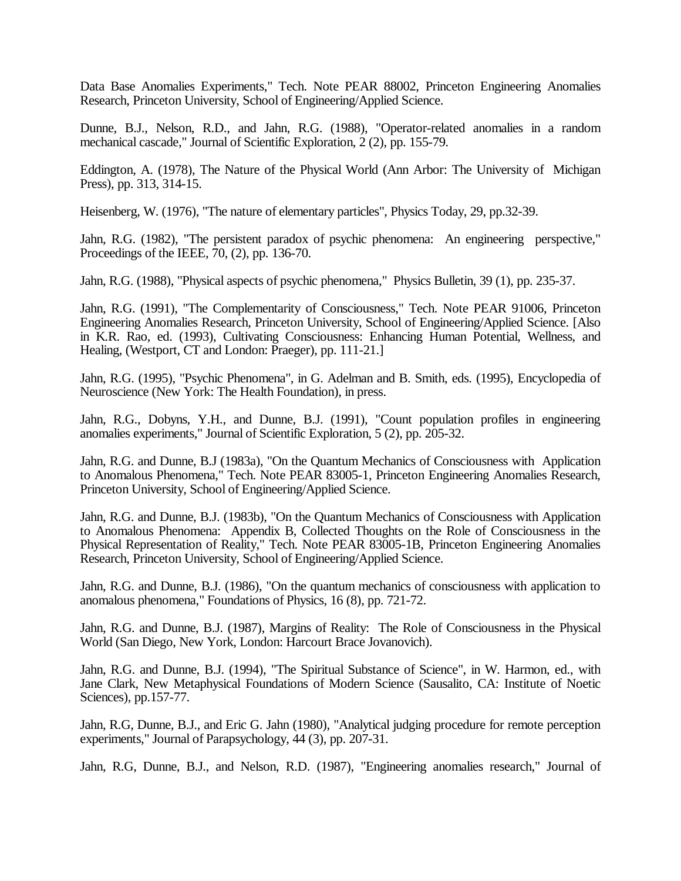Data Base Anomalies Experiments," Tech. Note PEAR 88002, Princeton Engineering Anomalies Research, Princeton University, School of Engineering/Applied Science.

Dunne, B.J., Nelson, R.D., and Jahn, R.G. (1988), "Operator-related anomalies in a random mechanical cascade," Journal of Scientific Exploration, 2 (2), pp. 155-79.

Eddington, A. (1978), The Nature of the Physical World (Ann Arbor: The University of Michigan Press), pp. 313, 314-15.

Heisenberg, W. (1976), "The nature of elementary particles", Physics Today, 29, pp.32-39.

Jahn, R.G. (1982), "The persistent paradox of psychic phenomena: An engineering perspective," Proceedings of the IEEE, 70, (2), pp. 136-70.

Jahn, R.G. (1988), "Physical aspects of psychic phenomena," Physics Bulletin, 39 (1), pp. 235-37.

Jahn, R.G. (1991), "The Complementarity of Consciousness," Tech. Note PEAR 91006, Princeton Engineering Anomalies Research, Princeton University, School of Engineering/Applied Science. [Also in K.R. Rao, ed. (1993), Cultivating Consciousness: Enhancing Human Potential, Wellness, and Healing, (Westport, CT and London: Praeger), pp. 111-21.]

Jahn, R.G. (1995), "Psychic Phenomena", in G. Adelman and B. Smith, eds. (1995), Encyclopedia of Neuroscience (New York: The Health Foundation), in press.

Jahn, R.G., Dobyns, Y.H., and Dunne, B.J. (1991), "Count population profiles in engineering anomalies experiments," Journal of Scientific Exploration, 5 (2), pp. 205-32.

Jahn, R.G. and Dunne, B.J (1983a), "On the Quantum Mechanics of Consciousness with Application to Anomalous Phenomena," Tech. Note PEAR 83005-1, Princeton Engineering Anomalies Research, Princeton University, School of Engineering/Applied Science.

Jahn, R.G. and Dunne, B.J. (1983b), "On the Quantum Mechanics of Consciousness with Application to Anomalous Phenomena: Appendix B, Collected Thoughts on the Role of Consciousness in the Physical Representation of Reality," Tech. Note PEAR 83005-1B, Princeton Engineering Anomalies Research, Princeton University, School of Engineering/Applied Science.

Jahn, R.G. and Dunne, B.J. (1986), "On the quantum mechanics of consciousness with application to anomalous phenomena," Foundations of Physics, 16 (8), pp. 721-72.

Jahn, R.G. and Dunne, B.J. (1987), Margins of Reality: The Role of Consciousness in the Physical World (San Diego, New York, London: Harcourt Brace Jovanovich).

Jahn, R.G. and Dunne, B.J. (1994), "The Spiritual Substance of Science", in W. Harmon, ed., with Jane Clark, New Metaphysical Foundations of Modern Science (Sausalito, CA: Institute of Noetic Sciences), pp.157-77.

Jahn, R.G, Dunne, B.J., and Eric G. Jahn (1980), "Analytical judging procedure for remote perception experiments," Journal of Parapsychology, 44 (3), pp. 207-31.

Jahn, R.G, Dunne, B.J., and Nelson, R.D. (1987), "Engineering anomalies research," Journal of